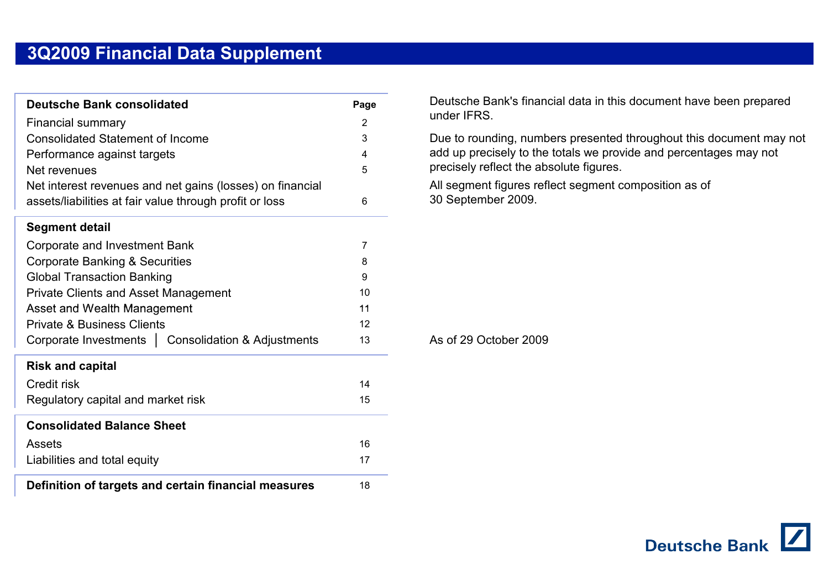| <b>Deutsche Bank consolidated</b>                         | Page |
|-----------------------------------------------------------|------|
| <b>Financial summary</b>                                  | 2    |
| <b>Consolidated Statement of Income</b>                   | 3    |
| Performance against targets                               | 4    |
| Net revenues                                              | 5    |
| Net interest revenues and net gains (losses) on financial |      |
| assets/liabilities at fair value through profit or loss   | 6    |
| <b>Segment detail</b>                                     |      |
| Corporate and Investment Bank                             | 7    |
| <b>Corporate Banking &amp; Securities</b>                 | 8    |
| <b>Global Transaction Banking</b>                         | 9    |
| <b>Private Clients and Asset Management</b>               | 10   |
| Asset and Wealth Management                               | 11   |
| <b>Private &amp; Business Clients</b>                     | 12   |
| Corporate Investments   Consolidation & Adjustments       | 13   |
| <b>Risk and capital</b>                                   |      |
| Credit risk                                               | 14   |
| Regulatory capital and market risk                        | 15   |
| <b>Consolidated Balance Sheet</b>                         |      |
| Assets                                                    | 16   |
| Liabilities and total equity                              | 17   |
| Definition of targets and certain financial measures      | 18   |

Deutsche Bank's financial data in this document have been prepared under IFRS.

Due to rounding, numbers presented throughout this document may not add up precisely to the totals we provide and percentages may not precisely reflect the absolute figures.

All segment figures reflect segment composition as of 30 September 2009.

As of 29 October 2009

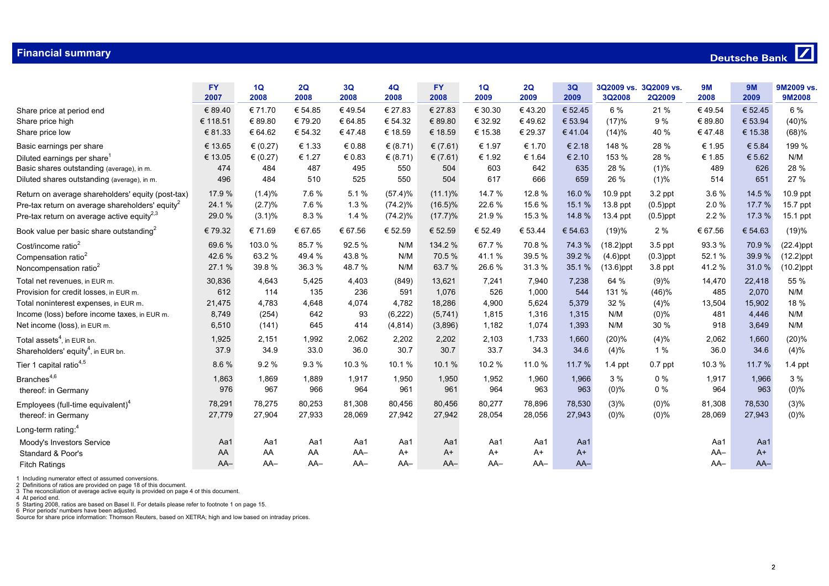|                                                             | <b>FY</b><br>2007 | 1Q<br>2008 | 2Q<br>2008 | 3Q<br>2008 | 4Q<br>2008 | <b>FY</b><br>2008 | 1Q<br>2009 | 2Q<br>2009 | 3Q<br>2009 | <b>3Q2008</b> | 3Q2009 vs. 3Q2009 vs.<br><b>2Q2009</b> | <b>9M</b><br>2008 | <b>9M</b><br>2009 | 9M2009 vs.<br>9M2008 |
|-------------------------------------------------------------|-------------------|------------|------------|------------|------------|-------------------|------------|------------|------------|---------------|----------------------------------------|-------------------|-------------------|----------------------|
| Share price at period end                                   | € 89.40           | € 71.70    | € 54.85    | €49.54     | € 27.83    | € 27.83           | € 30.30    | €43.20     | € 52.45    | 6 %           | 21 %                                   | €49.54            | € 52.45           | 6 %                  |
| Share price high                                            | € 118.51          | € 89.80    | € 79.20    | € 64.85    | € 54.32    | € 89.80           | € 32.92    | €49.62     | € 53.94    | (17)%         | 9 %                                    | € 89.80           | € 53.94           | (40)%                |
| Share price low                                             | € 81.33           | € 64.62    | € 54.32    | €47.48     | € 18.59    | € 18.59           | € 15.38    | € 29.37    | €41.04     | (14)%         | 40 %                                   | €47.48            | € 15.38           | (68)%                |
| Basic earnings per share                                    | € 13.65           | € $(0.27)$ | € 1.33     | € 0.88     | € $(8.71)$ | € $(7.61)$        | € 1.97     | € 1.70     | € 2.18     | 148 %         | 28 %                                   | € 1.95            | € 5.84            | 199 %                |
| Diluted earnings per share <sup>1</sup>                     | € 13.05           | € $(0.27)$ | € 1.27     | € 0.83     | € $(8.71)$ | € $(7.61)$        | € 1.92     | € 1.64     | € 2.10     | 153 %         | 28 %                                   | € 1.85            | € 5.62            | N/M                  |
| Basic shares outstanding (average), in m.                   | 474               | 484        | 487        | 495        | 550        | 504               | 603        | 642        | 635        | 28 %          | (1)%                                   | 489               | 626               | 28 %                 |
| Diluted shares outstanding (average), in m.                 | 496               | 484        | 510        | 525        | 550        | 504               | 617        | 666        | 659        | 26 %          | (1)%                                   | 514               | 651               | 27 %                 |
| Return on average shareholders' equity (post-tax)           | 17.9 %            | $(1.4)\%$  | 7.6%       | 5.1%       | (57.4)%    | $(11.1)\%$        | 14.7%      | 12.8%      | 16.0%      | $10.9$ ppt    | 3.2 ppt                                | 3.6%              | 14.5 %            | 10.9 ppt             |
| Pre-tax return on average shareholders' equity <sup>2</sup> | 24.1%             | (2.7)%     | 7.6%       | 1.3%       | $(74.2)\%$ | $(16.5)\%$        | 22.6%      | 15.6%      | 15.1%      | $13.8$ ppt    | $(0.5)$ ppt                            | 2.0%              | 17.7 %            | 15.7 ppt             |
| Pre-tax return on average active equity <sup>2,3</sup>      | 29.0%             | $(3.1)\%$  | 8.3%       | 1.4 %      | $(74.2)\%$ | (17.7)%           | 21.9%      | 15.3 %     | 14.8%      | 13.4 ppt      | $(0.5)$ ppt                            | 2.2 %             | 17.3 %            | 15.1 ppt             |
| Book value per basic share outstanding <sup>2</sup>         | €79.32            | € 71.69    | € 67.65    | € 67.56    | € 52.59    | € 52.59           | € 52.49    | € 53.44    | € 54.63    | (19)%         | 2%                                     | € 67.56           | € 54.63           | (19)%                |
| Cost/income ratio <sup>2</sup>                              | 69.6%             | 103.0%     | 85.7%      | 92.5%      | N/M        | 134.2 %           | 67.7%      | 70.8%      | 74.3 %     | $(18.2)$ ppt  | $3.5$ ppt                              | 93.3%             | 70.9%             | $(22.4)$ ppt         |
| Compensation ratio <sup>2</sup>                             | 42.6%             | 63.2%      | 49.4%      | 43.8%      | N/M        | 70.5%             | 41.1%      | 39.5%      | 39.2 %     | $(4.6)$ ppt   | $(0.3)$ ppt                            | 52.1%             | 39.9%             | $(12.2)$ ppt         |
| Noncompensation ratio <sup>2</sup>                          | 27.1%             | 39.8%      | 36.3%      | 48.7%      | N/M        | 63.7%             | 26.6%      | 31.3%      | 35.1 %     | $(13.6)$ ppt  | 3.8 ppt                                | 41.2%             | 31.0%             | $(10.2)$ ppt         |
| Total net revenues, in EUR m.                               | 30,836            | 4,643      | 5,425      | 4,403      | (849)      | 13,621            | 7,241      | 7,940      | 7,238      | 64 %          | (9)%                                   | 14,470            | 22,418            | 55 %                 |
| Provision for credit losses, in EUR m.                      | 612               | 114        | 135        | 236        | 591        | 1,076             | 526        | 1,000      | 544        | 131 %         | (46)%                                  | 485               | 2,070             | N/M                  |
| Total noninterest expenses, in EUR m.                       | 21,475            | 4,783      | 4,648      | 4,074      | 4,782      | 18,286            | 4,900      | 5,624      | 5,379      | 32 %          | (4)%                                   | 13,504            | 15,902            | 18 %                 |
| Income (loss) before income taxes, in EUR m.                | 8,749             | (254)      | 642        | 93         | (6, 222)   | (5, 741)          | 1,815      | 1,316      | 1,315      | N/M           | $(0)\%$                                | 481               | 4,446             | N/M                  |
| Net income (loss), in EUR m.                                | 6,510             | (141)      | 645        | 414        | (4, 814)   | (3,896)           | 1,182      | 1,074      | 1,393      | N/M           | 30 %                                   | 918               | 3,649             | N/M                  |
| Total assets <sup>4</sup> , in EUR bn.                      | 1,925             | 2,151      | 1,992      | 2,062      | 2,202      | 2,202             | 2,103      | 1,733      | 1,660      | (20)%         | (4)%                                   | 2,062             | 1,660             | (20)%                |
| Shareholders' equity <sup>4</sup> , in EUR bn.              | 37.9              | 34.9       | 33.0       | 36.0       | 30.7       | 30.7              | 33.7       | 34.3       | 34.6       | (4)%          | 1 %                                    | 36.0              | 34.6              | (4)%                 |
| Tier 1 capital ratio <sup>4,5</sup>                         | 8.6%              | 9.2%       | 9.3%       | 10.3%      | 10.1%      | 10.1%             | 10.2%      | 11.0%      | 11.7 %     | $1.4$ ppt     | $0.7$ ppt                              | 10.3%             | 11.7 %            | $1.4$ ppt            |
| Branches <sup>4,6</sup>                                     | 1,863             | 1,869      | 1,889      | 1,917      | 1,950      | 1,950             | 1,952      | 1,960      | 1,966      | 3%            | $0\%$                                  | 1,917             | 1,966             | 3%                   |
| thereof: in Germany                                         | 976               | 967        | 966        | 964        | 961        | 961               | 964        | 963        | 963        | $(0)\%$       | $0\%$                                  | 964               | 963               | $(0)\%$              |
| Employees (full-time equivalent) <sup>4</sup>               | 78,291            | 78,275     | 80,253     | 81,308     | 80,456     | 80,456            | 80,277     | 78,896     | 78,530     | (3)%          | $(0)\%$                                | 81,308            | 78,530            | (3)%                 |
| thereof: in Germany                                         | 27,779            | 27,904     | 27,933     | 28,069     | 27,942     | 27,942            | 28,054     | 28,056     | 27,943     | $(0)$ %       | $(0)\%$                                | 28,069            | 27,943            | $(0)\%$              |
| Long-term rating: <sup>4</sup>                              |                   |            |            |            |            |                   |            |            |            |               |                                        |                   |                   |                      |
| Moody's Investors Service                                   | Aa1               | Aa1        | Aa1        | Aa1        | Aa1        | Aa1               | Aa1        | Aa1        | Aa1        |               |                                        | Aa1               | Aa1               |                      |
| Standard & Poor's                                           | AA                | AA         | AA         | $AA-$      | $A+$       | $A+$              | $A+$       | $A+$       | $A+$       |               |                                        | $AA-$             | $A+$              |                      |
| <b>Fitch Ratings</b>                                        | $AA-$             | $AA-$      | $AA-$      | $AA-$      | $AA-$      | $AA-$             | $AA-$      | $AA-$      | $AA-$      |               |                                        | $AA-$             | $AA-$             |                      |

1 Including numerator effect of assumed conversions.<br>2 Definitions of ratios are provided on page 18 of this document.<br>3 The reconciliation of average active equity is provided on page 4 of this document.<br>4 At period end.<br>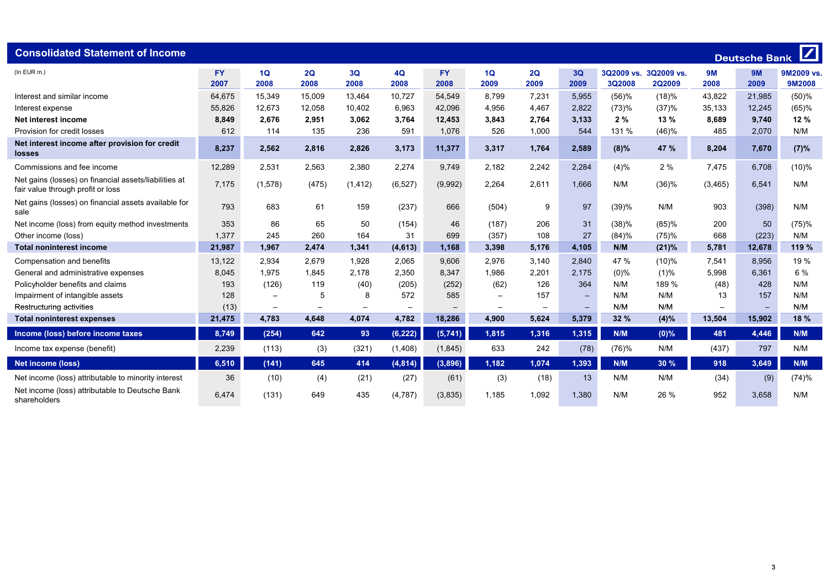| <b>Consolidated Statement of Income</b>                                                    |                   |                 |            |            |            |                   |            |            |                   |         |                                 |                   | <b>Deutsche Bank</b> | $\boldsymbol{Z}$     |
|--------------------------------------------------------------------------------------------|-------------------|-----------------|------------|------------|------------|-------------------|------------|------------|-------------------|---------|---------------------------------|-------------------|----------------------|----------------------|
| $(ln$ EUR $m.$ )                                                                           | <b>FY</b><br>2007 | 1Q<br>2008      | 2Q<br>2008 | 3Q<br>2008 | 4Q<br>2008 | <b>FY</b><br>2008 | 1Q<br>2009 | 2Q<br>2009 | 3Q<br>2009        | 3Q2008  | 3Q2009 vs. 3Q2009 vs.<br>2Q2009 | <b>9M</b><br>2008 | 9M<br>2009           | 9M2009 vs.<br>9M2008 |
| Interest and similar income                                                                | 64,675            | 15,349          | 15,009     | 13,464     | 10,727     | 54,549            | 8,799      | 7,231      | 5,955             | (56)%   | (18)%                           | 43,822            | 21,985               | (50)%                |
| Interest expense                                                                           | 55,826            | 12,673          | 12,058     | 10,402     | 6,963      | 42,096            | 4,956      | 4,467      | 2,822             | (73)%   | (37)%                           | 35,133            | 12,245               | (65)%                |
| Net interest income                                                                        | 8,849             | 2,676           | 2,951      | 3,062      | 3,764      | 12,453            | 3,843      | 2,764      | 3,133             | 2%      | 13%                             | 8,689             | 9,740                | 12%                  |
| Provision for credit losses                                                                | 612               | 114             | 135        | 236        | 591        | 1,076             | 526        | 1,000      | 544               | 131 %   | (46)%                           | 485               | 2,070                | N/M                  |
| Net interest income after provision for credit<br>losses                                   | 8,237             | 2,562           | 2,816      | 2,826      | 3,173      | 11,377            | 3,317      | 1,764      | 2,589             | $(8)\%$ | 47 %                            | 8,204             | 7,670                | (7)%                 |
| Commissions and fee income                                                                 | 12,289            | 2,531           | 2,563      | 2,380      | 2,274      | 9,749             | 2,182      | 2,242      | 2,284             | (4)%    | 2%                              | 7,475             | 6,708                | (10)%                |
| Net gains (losses) on financial assets/liabilities at<br>fair value through profit or loss | 7,175             | (1, 578)        | (475)      | (1, 412)   | (6, 527)   | (9,992)           | 2,264      | 2,611      | 1,666             | N/M     | (36)%                           | (3, 465)          | 6,541                | N/M                  |
| Net gains (losses) on financial assets available for<br>sale                               | 793               | 683             | 61         | 159        | (237)      | 666               | (504)      | 9          | 97                | (39)%   | N/M                             | 903               | (398)                | N/M                  |
| Net income (loss) from equity method investments                                           | 353               | 86              | 65         | 50         | (154)      | 46                | (187)      | 206        | 31                | (38)%   | (85)%                           | 200               | 50                   | (75)%                |
| Other income (loss)                                                                        | 1,377             | 245             | 260        | 164        | 31         | 699               | (357)      | 108        | 27                | (84)%   | (75)%                           | 668               | (223)                | N/M                  |
| <b>Total noninterest income</b>                                                            | 21,987            | 1,967           | 2,474      | 1,341      | (4, 613)   | 1,168             | 3,398      | 5,176      | 4,105             | N/M     | (21)%                           | 5,781             | 12,678               | 119 %                |
| Compensation and benefits                                                                  | 13,122            | 2,934           | 2,679      | 1,928      | 2,065      | 9.606             | 2,976      | 3,140      | 2.840             | 47 %    | (10)%                           | 7,541             | 8.956                | 19 %                 |
| General and administrative expenses                                                        | 8,045             | 1,975           | 1,845      | 2,178      | 2,350      | 8,347             | 1,986      | 2,201      | 2,175             | (0)%    | (1)%                            | 5,998             | 6,361                | 6 %                  |
| Policyholder benefits and claims                                                           | 193               | (126)           | 119        | (40)       | (205)      | (252)             | (62)       | 126        | 364               | N/M     | 189 %                           | (48)              | 428                  | N/M                  |
| Impairment of intangible assets                                                            | 128               |                 | .5         | 8          | 572        | 585               |            | 157        | $\qquad \qquad -$ | N/M     | N/M                             | 13                | 157                  | N/M                  |
| Restructuring activities                                                                   | (13)              | $\qquad \qquad$ |            |            |            |                   |            | —          |                   | N/M     | N/M                             |                   |                      | N/M                  |
| <b>Total noninterest expenses</b>                                                          | 21,475            | 4,783           | 4,648      | 4,074      | 4,782      | 18,286            | 4,900      | 5,624      | 5,379             | 32 %    | (4)%                            | 13,504            | 15,902               | 18 %                 |
| Income (loss) before income taxes                                                          | 8,749             | (254)           | 642        | 93         | (6, 222)   | (5,741)           | 1,815      | 1,316      | 1,315             | N/M     | $(0)$ %                         | 481               | 4,446                | N/M                  |
| Income tax expense (benefit)                                                               | 2,239             | (113)           | (3)        | (321)      | (1,408)    | (1,845)           | 633        | 242        | (78)              | (76)%   | N/M                             | (437)             | 797                  | N/M                  |
| <b>Net income (loss)</b>                                                                   | 6,510             | (141)           | 645        | 414        | (4, 814)   | (3,896)           | 1,182      | 1,074      | 1,393             | N/M     | 30 %                            | 918               | 3,649                | N/M                  |
| Net income (loss) attributable to minority interest                                        | 36                | (10)            | (4)        | (21)       | (27)       | (61)              | (3)        | (18)       | 13                | N/M     | N/M                             | (34)              | (9)                  | (74)%                |
| Net income (loss) attributable to Deutsche Bank<br>shareholders                            | 6,474             | (131)           | 649        | 435        | (4, 787)   | (3,835)           | 1,185      | 1,092      | 1,380             | N/M     | 26 %                            | 952               | 3,658                | N/M                  |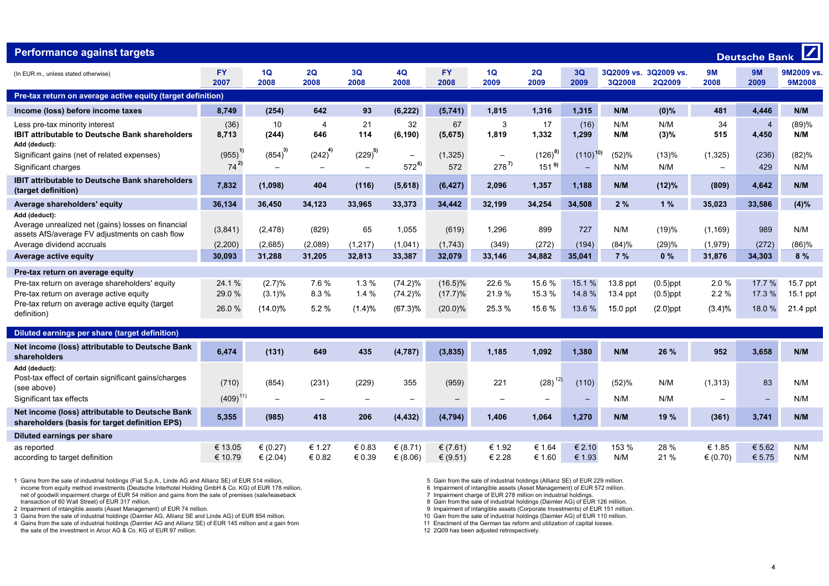| $\sqrt{ }$<br><b>Performance against targets</b><br><b>Deutsche Bank</b>                                              |                    |                                  |                                       |                  |                                |                          |                  |                          |                                          |                        |                            |                      |                         |                             |
|-----------------------------------------------------------------------------------------------------------------------|--------------------|----------------------------------|---------------------------------------|------------------|--------------------------------|--------------------------|------------------|--------------------------|------------------------------------------|------------------------|----------------------------|----------------------|-------------------------|-----------------------------|
| (In EUR m., unless stated otherwise)                                                                                  | <b>FY</b><br>2007  | 1Q<br>2008                       | 2Q<br>2008                            | 3Q<br>2008       | 4Q<br>2008                     | <b>FY</b><br>2008        | 1Q<br>2009       | 2Q<br>2009               | 3Q<br>2009                               | 3Q2009 vs.<br>3Q2008   | 3Q2009 vs.<br>2Q2009       | <b>9M</b><br>2008    | 9M<br>2009              | 9M2009 vs.<br><b>9M2008</b> |
| Pre-tax return on average active equity (target definition)                                                           |                    |                                  |                                       |                  |                                |                          |                  |                          |                                          |                        |                            |                      |                         |                             |
| Income (loss) before income taxes                                                                                     | 8,749              | (254)                            | 642                                   | 93               | (6, 222)                       | (5,741)                  | 1,815            | 1,316                    | 1,315                                    | N/M                    | $(0)\%$                    | 481                  | 4,446                   | N/M                         |
| Less pre-tax minority interest<br>IBIT attributable to Deutsche Bank shareholders<br>Add (deduct):                    | (36)<br>8,713      | 10<br>(244)                      | $\overline{4}$<br>646                 | 21<br>114        | 32<br>(6, 190)                 | 67<br>(5,675)            | 3<br>1,819       | 17<br>1,332              | (16)<br>1,299                            | N/M<br>N/M             | N/M<br>(3)%                | 34<br>515            | $\overline{4}$<br>4,450 | (89)%<br>N/M                |
| Significant gains (net of related expenses)<br>Significant charges                                                    | (955)<br>$74^{2}$  | $(854)^{3}$<br>$\qquad \qquad -$ | $(242)^4$<br>$\overline{\phantom{0}}$ | $(229)^{5}$      | $\qquad \qquad -$<br>$572^{6}$ | (1, 325)<br>572          | $278^{7}$        | $(126)^{8}$<br>$151^{9}$ | $(110)^{10}$<br>$\overline{\phantom{0}}$ | (52)%<br>N/M           | (13)%<br>N/M               | (1, 325)             | (236)<br>429            | (82)%<br>N/M                |
| <b>IBIT attributable to Deutsche Bank shareholders</b><br>(target definition)                                         | 7,832              | (1,098)                          | 404                                   | (116)            | (5,618)                        | (6, 427)                 | 2,096            | 1,357                    | 1,188                                    | N/M                    | (12)%                      | (809)                | 4,642                   | N/M                         |
| Average shareholders' equity                                                                                          | 36,134             | 36,450                           | 34,123                                | 33,965           | 33,373                         | 34,442                   | 32,199           | 34,254                   | 34,508                                   | 2%                     | 1%                         | 35,023               | 33,586                  | (4)%                        |
| Add (deduct):<br>Average unrealized net (gains) losses on financial<br>assets AfS/average FV adjustments on cash flow | (3,841)            | (2, 478)                         | (829)                                 | 65               | 1,055                          | (619)                    | 1,296            | 899                      | 727                                      | N/M                    | (19)%                      | (1, 169)             | 989                     | N/M                         |
| Average dividend accruals                                                                                             | (2,200)            | (2,685)                          | (2,089)                               | (1, 217)         | (1,041)                        | (1,743)                  | (349)            | (272)                    | (194)                                    | (84)%                  | (29)%                      | (1,979)              | (272)                   | (86)%                       |
| Average active equity                                                                                                 | 30.093             | 31,288                           | 31.205                                | 32.813           | 33,387                         | 32.079                   | 33,146           | 34.882                   | 35.041                                   | 7%                     | 0%                         | 31,876               | 34.303                  | 8 %                         |
| Pre-tax return on average equity                                                                                      |                    |                                  |                                       |                  |                                |                          |                  |                          |                                          |                        |                            |                      |                         |                             |
| Pre-tax return on average shareholders' equity<br>Pre-tax return on average active equity                             | 24.1%<br>29.0 %    | (2.7)%<br>$(3.1)\%$              | 7.6%<br>8.3%                          | 1.3%<br>1.4%     | $(74.2)\%$<br>$(74.2)\%$       | $(16.5)\%$<br>(17.7)%    | 22.6%<br>21.9%   | 15.6%<br>15.3 %          | 15.1 %<br>14.8%                          | 13.8 ppt<br>$13.4$ ppt | $(0.5)$ ppt<br>$(0.5)$ ppt | 2.0%<br>2.2%         | 17.7 %<br>17.3 %        | 15.7 ppt<br>15.1 ppt        |
| Pre-tax return on average active equity (target<br>definition)                                                        | 26.0%              | $(14.0)\%$                       | 5.2%                                  | (1.4)%           | $(67.3)\%$                     | $(20.0)\%$               | 25.3%            | 15.6%                    | 13.6 %                                   | 15.0 ppt               | $(2.0)$ ppt                | (3.4)%               | 18.0%                   | 21.4 ppt                    |
| Diluted earnings per share (target definition)                                                                        |                    |                                  |                                       |                  |                                |                          |                  |                          |                                          |                        |                            |                      |                         |                             |
| Net income (loss) attributable to Deutsche Bank<br>shareholders                                                       | 6,474              | (131)                            | 649                                   | 435              | (4, 787)                       | (3,835)                  | 1,185            | 1,092                    | 1,380                                    | N/M                    | 26 %                       | 952                  | 3,658                   | N/M                         |
| Add (deduct):<br>Post-tax effect of certain significant gains/charges<br>(see above)                                  | (710)              | (854)                            | (231)                                 | (229)            | 355                            | (959)                    | 221              | $(28)^{12}$              | (110)                                    | (52)%                  | N/M                        | (1,313)              | 83                      | N/M                         |
| Significant tax effects                                                                                               | $(409)^{11}$       |                                  |                                       |                  | $\overline{\phantom{0}}$       |                          |                  |                          |                                          | N/M                    | N/M                        |                      |                         | N/M                         |
| Net income (loss) attributable to Deutsche Bank<br>shareholders (basis for target definition EPS)                     | 5,355              | (985)                            | 418                                   | 206              | (4, 432)                       | (4, 794)                 | 1,406            | 1,064                    | 1,270                                    | N/M                    | 19 %                       | (361)                | 3.741                   | N/M                         |
| Diluted earnings per share                                                                                            |                    |                                  |                                       |                  |                                |                          |                  |                          |                                          |                        |                            |                      |                         |                             |
| as reported<br>according to target definition                                                                         | € 13.05<br>€ 10.79 | € $(0.27)$<br>€ $(2.04)$         | € 1.27<br>€ 0.82                      | € 0.83<br>€ 0.39 | € $(8.71)$<br>€ $(8.06)$       | € $(7.61)$<br>€ $(9.51)$ | € 1.92<br>€ 2.28 | € 1.64<br>€ 1.60         | € 2.10<br>€ 1.93                         | 153 %<br>N/M           | 28 %<br>21 %               | € 1.85<br>€ $(0.70)$ | € 5.62<br>€ 5.75        | N/M<br>N/M                  |

1 Gains from the sale of industrial holdings (Fiat S.p.A., Linde AG and Allianz SE) of EUR 514 million, 5 Gain from the sale of industrial holdings (Allianz SE) of EUR 229 million.<br>
income from equity method investments (D income from equity method investments (Deutsche Interhotel Holding GmbH & Co. KG) of EUR 178 million, 6 0 Impairment of intangible assets (Asset Management) of EUR 178 million, net of goodwill impairment charge of EUR 54 m net of goodwill impairment charge of EUR 54 million and gains from the sale of premises (sale/leaseback transaction of 60 Wall Street) of EUR 317 million. transaction of 60 Wall Street) of EUR 317 million.<br>2 Impairment of industrial holdings (Daimler AG) of EUR 126 million.<br>2 Impairment of intangible assets (Asset Management) of EUR 151 million.

3 Gains from the sale of industrial holdings (Daimler AG, Allianz SE and Linde AG) of EUR 854 million.<br>4 Gains from the sale of industrial holdings (Daimler AG and Allianz SE) of EUR 145 million and a gain from the metal o

the sale of the investment in Arcor AG & Co. KG of EUR 97 million. 12 2009 has been adjusted retrospectively.

2 Impairment of intangible assets (Corporate Investments) of EUR 151 million.<br>10 Gain from the sale of industrial holdings (Daimler AG) of EUR 110 million.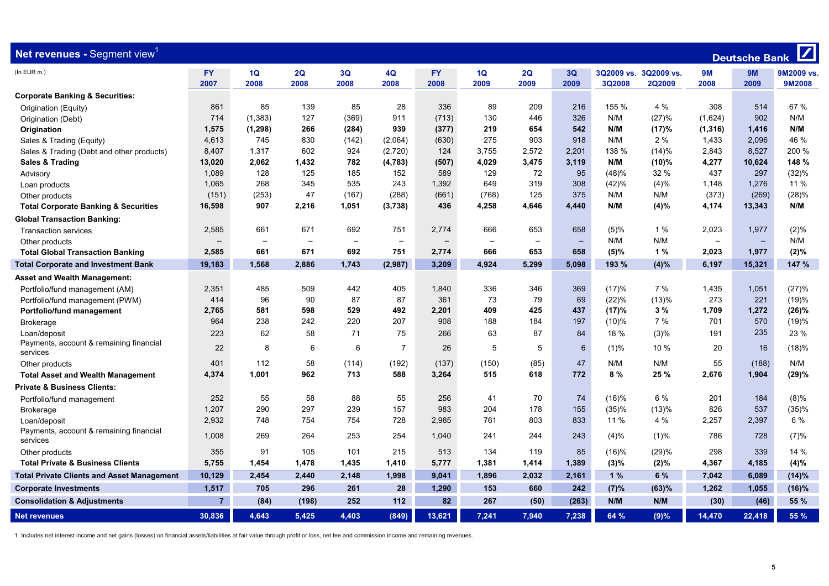| <b>Net revenues - Segment view<sup>1</sup></b>      | $\boxed{\phantom{1}}$<br><b>Deutsche Bank</b> |                          |                          |                          |                          |                          |                          |                          |                          |         |                       |                          |                          |           |
|-----------------------------------------------------|-----------------------------------------------|--------------------------|--------------------------|--------------------------|--------------------------|--------------------------|--------------------------|--------------------------|--------------------------|---------|-----------------------|--------------------------|--------------------------|-----------|
| (In EUR m.)                                         | <b>FY</b>                                     | 1Q                       | 2Q                       | 3Q                       | 4Q                       | FY.                      | 1Q                       | 2Q                       | 3Q                       |         | 3Q2009 vs. 3Q2009 vs. | <b>9M</b>                | <b>9M</b>                | 9M2009 vs |
|                                                     | 2007                                          | 2008                     | 2008                     | 2008                     | 2008                     | 2008                     | 2009                     | 2009                     | 2009                     | 3Q2008  | 2Q2009                | 2008                     | 2009                     | 9M2008    |
| <b>Corporate Banking &amp; Securities:</b>          |                                               |                          |                          |                          |                          |                          |                          |                          |                          |         |                       |                          |                          |           |
| Origination (Equity)                                | 861                                           | 85                       | 139                      | 85                       | 28                       | 336                      | 89                       | 209                      | 216                      | 155 %   | 4 %                   | 308                      | 514                      | 67 %      |
| Origination (Debt)                                  | 714                                           | (1, 383)                 | 127                      | (369)                    | 911                      | (713)                    | 130                      | 446                      | 326                      | N/M     | (27)%                 | (1,624)                  | 902                      | N/M       |
| Origination                                         | 1,575                                         | (1, 298)                 | 266                      | (284)                    | 939                      | (377)                    | 219                      | 654                      | 542                      | N/M     | (17)%                 | (1, 316)                 | 1,416                    | N/M       |
| Sales & Trading (Equity)                            | 4,613                                         | 745                      | 830                      | (142)                    | (2,064)                  | (630)                    | 275                      | 903                      | 918                      | N/M     | 2%                    | 1,433                    | 2,096                    | 46 %      |
| Sales & Trading (Debt and other products)           | 8.407                                         | 1,317                    | 602                      | 924                      | (2,720)                  | 124                      | 3,755                    | 2,572                    | 2,201                    | 138 %   | (14)%                 | 2,843                    | 8.527                    | 200 %     |
| Sales & Trading                                     | 13,020                                        | 2,062                    | 1,432                    | 782                      | (4, 783)                 | (507)                    | 4,029                    | 3,475                    | 3,119                    | N/M     | (10)%                 | 4,277                    | 10,624                   | 148 %     |
| Advisory                                            | 1,089                                         | 128                      | 125                      | 185                      | 152                      | 589                      | 129                      | 72                       | 95                       | (48)%   | 32 %                  | 437                      | 297                      | (32)%     |
| Loan products                                       | 1,065                                         | 268                      | 345                      | 535                      | 243                      | 1,392                    | 649                      | 319                      | 308                      | (42)%   | (4)%                  | 1,148                    | 1,276                    | 11 %      |
| Other products                                      | (151)                                         | (253)                    | 47                       | (167)                    | (288)                    | (661)                    | (768)                    | 125                      | 375                      | N/M     | N/M                   | (373)                    | (269)                    | (28)%     |
| <b>Total Corporate Banking &amp; Securities</b>     | 16,598                                        | 907                      | 2,216                    | 1,051                    | (3,738)                  | 436                      | 4,258                    | 4,646                    | 4,440                    | N/M     | (4)%                  | 4,174                    | 13,343                   | N/M       |
| <b>Global Transaction Banking:</b>                  |                                               |                          |                          |                          |                          |                          |                          |                          |                          |         |                       |                          |                          |           |
| <b>Transaction services</b>                         | 2,585                                         | 661                      | 671                      | 692                      | 751                      | 2,774                    | 666                      | 653                      | 658                      | (5)%    | 1 %                   | 2,023                    | 1,977                    | (2)%      |
| Other products                                      | $\overline{\phantom{0}}$                      | $\overline{\phantom{0}}$ | $\overline{\phantom{m}}$ | $\overline{\phantom{m}}$ | $\overline{\phantom{0}}$ | $\overline{\phantom{m}}$ | $\overline{\phantom{0}}$ | $\overline{\phantom{a}}$ | $\overline{\phantom{0}}$ | N/M     | N/M                   | $\overline{\phantom{m}}$ | $\overline{\phantom{m}}$ | N/M       |
| <b>Total Global Transaction Banking</b>             | 2,585                                         | 661                      | 671                      | 692                      | 751                      | 2,774                    | 666                      | 653                      | 658                      | $(5)\%$ | 1%                    | 2,023                    | 1,977                    | (2)%      |
| <b>Total Corporate and Investment Bank</b>          | 19,183                                        | 1,568                    | 2,886                    | 1,743                    | (2,987)                  | 3,209                    | 4,924                    | 5,299                    | 5,098                    | 193 %   | (4)%                  | 6,197                    | 15,321                   | 147 %     |
| <b>Asset and Wealth Management:</b>                 |                                               |                          |                          |                          |                          |                          |                          |                          |                          |         |                       |                          |                          |           |
| Portfolio/fund management (AM)                      | 2,351                                         | 485                      | 509                      | 442                      | 405                      | 1,840                    | 336                      | 346                      | 369                      | (17)%   | 7%                    | 1,435                    | 1,051                    | (27)%     |
| Portfolio/fund management (PWM)                     | 414                                           | 96                       | 90                       | 87                       | 87                       | 361                      | 73                       | 79                       | 69                       | (22)%   | (13)%                 | 273                      | 221                      | (19)%     |
| Portfolio/fund management                           | 2,765                                         | 581                      | 598                      | 529                      | 492                      | 2,201                    | 409                      | 425                      | 437                      | (17)%   | 3%                    | 1,709                    | 1,272                    | (26)%     |
| <b>Brokerage</b>                                    | 964                                           | 238                      | 242                      | 220                      | 207                      | 908                      | 188                      | 184                      | 197                      | (10)%   | 7%                    | 701                      | 570                      | (19)%     |
| Loan/deposit                                        | 223                                           | 62                       | 58                       | 71                       | 75                       | 266                      | 63                       | 87                       | 84                       | 18 %    | (3)%                  | 191                      | 235                      | 23 %      |
| Payments, account & remaining financial             | 22                                            | 8                        | 6                        | 6                        | $\overline{7}$           | 26                       | 5                        | 5                        | 6                        | (1)%    | 10 %                  | 20                       | 16                       | (18)%     |
| services                                            |                                               |                          |                          |                          |                          |                          |                          |                          |                          |         |                       |                          |                          |           |
| Other products                                      | 401                                           | 112                      | 58                       | (114)                    | (192)                    | (137)                    | (150)                    | (85)                     | 47                       | N/M     | N/M                   | 55                       | (188)                    | N/M       |
| <b>Total Asset and Wealth Management</b>            | 4,374                                         | 1.001                    | 962                      | 713                      | 588                      | 3,264                    | 515                      | 618                      | 772                      | 8%      | 25 %                  | 2,676                    | 1,904                    | (29)%     |
| <b>Private &amp; Business Clients:</b>              |                                               |                          |                          |                          |                          |                          |                          |                          |                          |         |                       |                          |                          |           |
| Portfolio/fund management                           | 252                                           | 55                       | 58                       | 88                       | 55                       | 256                      | 41                       | 70                       | 74                       | (16)%   | 6 %                   | 201                      | 184                      | (8)%      |
| <b>Brokerage</b>                                    | 1,207                                         | 290                      | 297                      | 239                      | 157                      | 983                      | 204                      | 178                      | 155                      | (35)%   | (13)%                 | 826                      | 537                      | (35)%     |
| Loan/deposit                                        | 2,932                                         | 748                      | 754                      | 754                      | 728                      | 2,985                    | 761                      | 803                      | 833                      | 11 %    | 4 %                   | 2,257                    | 2,397                    | 6 %       |
| Payments, account & remaining financial<br>services | 1,008                                         | 269                      | 264                      | 253                      | 254                      | 1.040                    | 241                      | 244                      | 243                      | (4)%    | (1)%                  | 786                      | 728                      | (7)%      |
| Other products                                      | 355                                           | 91                       | 105                      | 101                      | 215                      | 513                      | 134                      | 119                      | 85                       | (16)%   | (29)%                 | 298                      | 339                      | 14 %      |
| <b>Total Private &amp; Business Clients</b>         | 5,755                                         | 1,454                    | 1,478                    | 1,435                    | 1,410                    | 5,777                    | 1,381                    | 1,414                    | 1,389                    | (3)%    | (2)%                  | 4,367                    | 4,185                    | (4)%      |
| <b>Total Private Clients and Asset Management</b>   | 10,129                                        | 2,454                    | 2,440                    | 2,148                    | 1,998                    | 9,041                    | 1,896                    | 2,032                    | 2,161                    | 1%      | 6 %                   | 7,042                    | 6,089                    | (14)%     |
| <b>Corporate Investments</b>                        | 1,517                                         | 705                      | 296                      | 261                      | 28                       | 1,290                    | 153                      | 660                      | 242                      | (7)%    | (63)%                 | 1,262                    | 1,055                    | (16)%     |
| <b>Consolidation &amp; Adjustments</b>              | 7 <sup>1</sup>                                | (84)                     | (198)                    | 252                      | 112                      | 82                       | 267                      | (50)                     | (263)                    | N/M     | N/M                   | (30)                     | (46)                     | 55 %      |
| <b>Net revenues</b>                                 | 30,836                                        | 4,643                    | 5,425                    | 4,403                    | (849)                    | 13,621                   | 7,241                    | 7,940                    | 7,238                    | 64 %    | (9)%                  | 14,470                   | 22,418                   | 55 %      |

1 Includes net interest income and net gains (losses) on financial assets/liabilities at fair value through profit or loss, net fee and commission income and remaining revenues.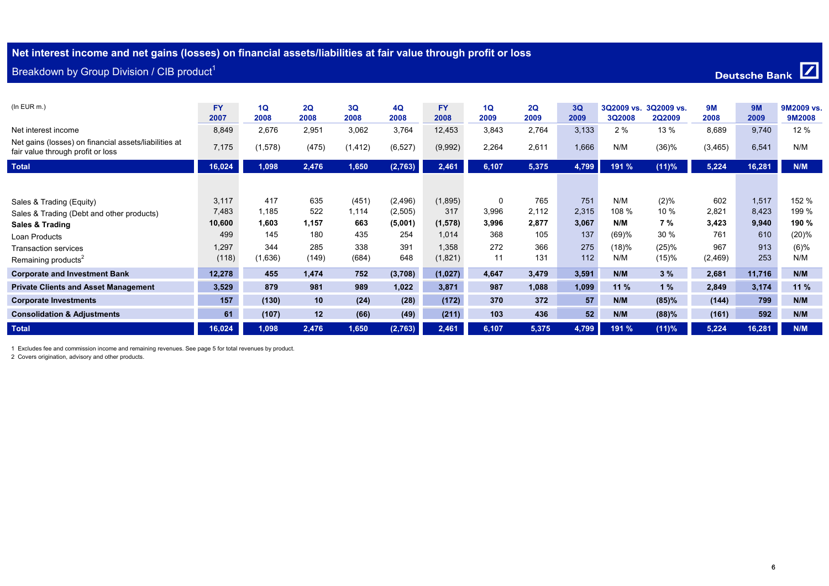# **Net interest income and net gains (losses) on financial assets/liabilities at fair value through profit or loss**

| Breakdown by Group Division / CIB product <sup>1</sup>                                     | Deutsche Bank     |            |            |            |            |                   |            |            |            |                      |                             |            |                   |                      |  |
|--------------------------------------------------------------------------------------------|-------------------|------------|------------|------------|------------|-------------------|------------|------------|------------|----------------------|-----------------------------|------------|-------------------|----------------------|--|
| $(In$ EUR $m.)$                                                                            | <b>FY</b><br>2007 | 1Q<br>2008 | 2Q<br>2008 | 3Q<br>2008 | 4Q<br>2008 | <b>FY</b><br>2008 | 1Q<br>2009 | 2Q<br>2009 | 3Q<br>2009 | 3Q2009 vs.<br>3Q2008 | 3Q2009 vs.<br><b>2Q2009</b> | 9M<br>2008 | <b>9M</b><br>2009 | 9M2009 vs.<br>9M2008 |  |
| Net interest income                                                                        | 8,849             | 2,676      | 2,951      | 3,062      | 3,764      | 12,453            | 3,843      | 2,764      | 3,133      | 2%                   | 13 %                        | 8,689      | 9,740             | 12 %                 |  |
| Net gains (losses) on financial assets/liabilities at<br>fair value through profit or loss | 7,175             | (1,578)    | (475)      | (1, 412)   | (6, 527)   | (9,992)           | 2,264      | 2,611      | 1,666      | N/M                  | (36)%                       | (3, 465)   | 6,541             | N/M                  |  |
| <b>Total</b>                                                                               | 16,024            | 1,098      | 2,476      | 1,650      | (2,763)    | 2,461             | 6,107      | 5,375      | 4,799      | 191 %                | $(11)\%$                    | 5,224      | 16,281            | N/M                  |  |
|                                                                                            |                   |            |            |            |            |                   |            |            |            |                      |                             |            |                   |                      |  |
| Sales & Trading (Equity)                                                                   | 3,117             | 417        | 635        | (451)      | (2, 496)   | (1,895)           | 0          | 765        | 751        | N/M                  | $(2)\%$                     | 602        | 1,517             | 152 %                |  |
| Sales & Trading (Debt and other products)                                                  | 7,483             | 1,185      | 522        | 1,114      | (2,505)    | 317               | 3,996      | 2,112      | 2,315      | 108 %                | 10 %                        | 2,821      | 8,423             | 199 %                |  |
| Sales & Trading                                                                            | 10,600            | 1,603      | 1,157      | 663        | (5,001)    | (1, 578)          | 3,996      | 2,877      | 3,067      | N/M                  | 7%                          | 3,423      | 9,940             | 190 %                |  |
| Loan Products                                                                              | 499               | 145        | 180        | 435        | 254        | 1,014             | 368        | 105        | 137        | (69)%                | 30 %                        | 761        | 610               | (20)%                |  |
| <b>Transaction services</b>                                                                | 1,297             | 344        | 285        | 338        | 391        | 1,358             | 272        | 366        | 275        | (18)%                | (25)%                       | 967        | 913               | (6)%                 |  |
| Remaining products <sup>2</sup>                                                            | (118)             | (1,636)    | (149)      | (684)      | 648        | (1,821)           | 11         | 131        | 112        | N/M                  | (15)%                       | (2, 469)   | 253               | N/M                  |  |
| <b>Corporate and Investment Bank</b>                                                       | 12,278            | 455        | 1,474      | 752        | (3,708)    | (1,027)           | 4,647      | 3,479      | 3,591      | N/M                  | 3%                          | 2,681      | 11,716            | N/M                  |  |
| <b>Private Clients and Asset Management</b>                                                | 3,529             | 879        | 981        | 989        | 1,022      | 3,871             | 987        | 1,088      | 1,099      | 11%                  | 1%                          | 2,849      | 3,174             | 11%                  |  |
| <b>Corporate Investments</b>                                                               | 157               | (130)      | 10         | (24)       | (28)       | (172)             | 370        | 372        | 57         | N/M                  | (85)%                       | (144)      | 799               | N/M                  |  |
| <b>Consolidation &amp; Adjustments</b>                                                     | 61                | (107)      | 12         | (66)       | (49)       | (211)             | 103        | 436        | 52         | N/M                  | (88)%                       | (161)      | 592               | N/M                  |  |
| <b>Total</b>                                                                               | 16,024            | 1,098      | 2,476      | 1,650      | (2,763)    | 2,461             | 6,107      | 5,375      | 4,799      | 191 %                | $(11)\%$                    | 5,224      | 16,281            | N/M                  |  |

1 Excludes fee and commission income and remaining revenues. See page 5 for total revenues by product.

2 Covers origination, advisory and other products.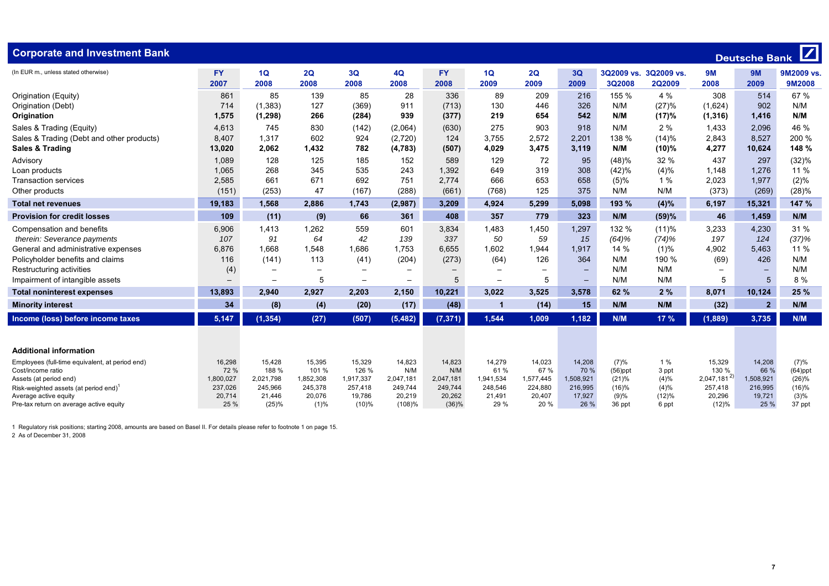| (In EUR m., unless stated otherwise)<br><b>FY</b><br>3Q<br><b>FY</b><br>1Q<br><b>9M</b><br>1Q<br>2Q<br>4Q<br>2Q<br>3Q<br>3Q2009 vs. 3Q2009 vs.<br><b>9M</b><br>2007<br>2008<br>2008<br>2008<br>2008<br>2008<br>2009<br>2009<br>2009<br>2008<br>2009<br>3Q2008<br><b>2Q2009</b>                                      | 9M2009 vs.<br>9M2008 |
|---------------------------------------------------------------------------------------------------------------------------------------------------------------------------------------------------------------------------------------------------------------------------------------------------------------------|----------------------|
| 85<br>28<br>209<br>155 %<br>4 %<br>308<br>861<br>139<br>85<br>336<br>89<br>216<br>514<br>Origination (Equity)                                                                                                                                                                                                       | 67 %                 |
| 714<br>326<br>(27)%<br>902<br>Origination (Debt)<br>(1, 383)<br>127<br>(369)<br>911<br>(713)<br>130<br>446<br>N/M<br>(1,624)                                                                                                                                                                                        | N/M                  |
| 1,575<br>266<br>939<br>219<br>542<br>N/M<br>(17)%<br>Origination<br>(1, 298)<br>(284)<br>(377)<br>654<br>(1, 316)<br>1,416                                                                                                                                                                                          | N/M                  |
| Sales & Trading (Equity)<br>4,613<br>745<br>830<br>(142)<br>(2,064)<br>(630)<br>275<br>903<br>918<br>N/M<br>2%<br>1,433<br>2,096                                                                                                                                                                                    | 46 %                 |
| 8,407<br>1,317<br>602<br>3,755<br>2,572<br>2,201<br>138 %<br>2,843<br>8,527<br>Sales & Trading (Debt and other products)<br>924<br>(2,720)<br>124<br>(14)%                                                                                                                                                          | 200 %                |
| 2,062<br>3,475<br>N/M<br>4,277<br>10,624<br><b>Sales &amp; Trading</b><br>13,020<br>1,432<br>782<br>(507)<br>4,029<br>3,119<br>(10)%<br>(4, 783)                                                                                                                                                                    | 148 %                |
| 437<br>1,089<br>128<br>125<br>185<br>152<br>589<br>129<br>72<br>95<br>(48)%<br>32 %<br>297<br>Advisory                                                                                                                                                                                                              | (32)%                |
| 1.065<br>268<br>345<br>319<br>308<br>(4)%<br>535<br>243<br>1.392<br>649<br>(42)%<br>1.148<br>1.276<br>Loan products                                                                                                                                                                                                 | 11 %                 |
| 2,585<br>661<br>671<br>692<br>751<br>653<br>658<br>2,023<br><b>Transaction services</b><br>2,774<br>666<br>(5)%<br>1%<br>1,977                                                                                                                                                                                      | (2)%                 |
| 47<br>375<br>N/M<br>(373)<br>(151)<br>(253)<br>(167)<br>(288)<br>(768)<br>125<br>N/M<br>(269)<br>(661)<br>Other products                                                                                                                                                                                            | (28)%                |
| 19,183<br>1,568<br>2,886<br>5,299<br>5.098<br>193 %<br>(4)%<br>6,197<br>15,321<br>1,743<br>(2,987)<br>3,209<br>4,924<br><b>Total net revenues</b>                                                                                                                                                                   | 147 %                |
| 109<br>46<br><b>Provision for credit losses</b><br>(11)<br>(9)<br>66<br>361<br>408<br>357<br>779<br>323<br>N/M<br>(59)%<br>1,459                                                                                                                                                                                    | N/M                  |
| 6,906<br>1,413<br>1,262<br>559<br>601<br>1,450<br>1,297<br>132 %<br>3,233<br>4,230<br>3,834<br>1,483<br>(11)%<br>Compensation and benefits                                                                                                                                                                          | 31 %                 |
| therein: Severance payments<br>107<br>91<br>42<br>197<br>64<br>139<br>337<br>50<br>59<br>15<br>(64)%<br>124<br>(74)%                                                                                                                                                                                                | (37)%                |
| 6,876<br>1,668<br>1,548<br>1,686<br>1,753<br>1,602<br>1,944<br>14 %<br>4,902<br>General and administrative expenses<br>6,655<br>1,917<br>(1)%<br>5,463                                                                                                                                                              | 11 %                 |
| 113<br>Policyholder benefits and claims<br>116<br>(141)<br>(41)<br>(204)<br>(273)<br>(64)<br>126<br>364<br>N/M<br>190 %<br>(69)<br>426                                                                                                                                                                              | N/M                  |
| (4)<br>N/M<br>N/M<br>Restructuring activities<br>$\overline{\phantom{0}}$<br>$\overline{\phantom{0}}$<br>$\overline{\phantom{0}}$<br>$\overline{\phantom{m}}$<br>$\qquad \qquad -$                                                                                                                                  | N/M                  |
| 5<br>5<br>N/M<br>N/M<br>5<br>5<br>Impairment of intangible assets<br>5<br>$\overline{\phantom{0}}$<br>$\qquad \qquad -$<br>$\qquad \qquad -$<br>$\overline{\phantom{a}}$<br>$\overline{\phantom{0}}$                                                                                                                | 8 %                  |
| 2,150<br>2%<br>8,071<br>10,124<br>2.940<br>2,927<br>2,203<br>10.221<br>3,022<br>3,525<br>3,578<br>62 %<br>13,893<br><b>Total noninterest expenses</b>                                                                                                                                                               | 25 %                 |
| 34<br>(8)<br>(17)<br>(48)<br>(14)<br>15<br>N/M<br>N/M<br>(32)<br>2 <sup>1</sup><br>(4)<br>(20)<br><b>Minority interest</b><br>-1                                                                                                                                                                                    | N/M                  |
| 5,147<br>(1, 354)<br>(5, 482)<br>(7, 371)<br>1.544<br>1,182<br>N/M<br>17 %<br>(1,889)<br>3,735<br>Income (loss) before income taxes<br>(27)<br>(507)<br>1,009                                                                                                                                                       | N/M                  |
| <b>Additional information</b>                                                                                                                                                                                                                                                                                       |                      |
| 14,279<br>14,208<br>16,298<br>15,428<br>15,395<br>15,329<br>14,823<br>14,823<br>14,023<br>(7)%<br>1%<br>15,329<br>14,208<br>Employees (full-time equivalent, at period end)                                                                                                                                         | (7)%                 |
| 72 %<br>67 %<br>188 %<br>101 %<br>126 %<br>N/M<br>N/M<br>61 %<br>70 %<br>130 %<br>66 %<br>Cost/income ratio<br>$(56)$ ppt<br>3 ppt                                                                                                                                                                                  | $(64)$ ppt           |
| $2,047,181^{2}$<br>1,800,027<br>2,021,798<br>1,852,308<br>1,917,337<br>1,941,534<br>(4)%<br>1,508,921<br>2,047,181<br>2,047,181<br>1,577,445<br>1,508,921<br>(21)%<br>Assets (at period end)                                                                                                                        | (26)%                |
| 224,880<br>237,026<br>245,966<br>245,378<br>257,418<br>249,744<br>249,744<br>248,546<br>216,995<br>(16)%<br>(4)%<br>257,418<br>216,995<br>Risk-weighted assets (at period end)                                                                                                                                      | (16)%                |
| 20,714<br>20,076<br>19.786<br>20,262<br>21,491<br>20,407<br>17,927<br>(9)%<br>20,296<br>19,721<br>21,446<br>20.219<br>(12)%<br>Average active equity<br>25 %<br>(25)%<br>(1)%<br>$(10)\%$<br>(108)%<br>(36)%<br>29 %<br>20 %<br>26 %<br>(12)%<br>25 %<br>Pre-tax return on average active equity<br>36 ppt<br>6 ppt | (3)%<br>37 ppt       |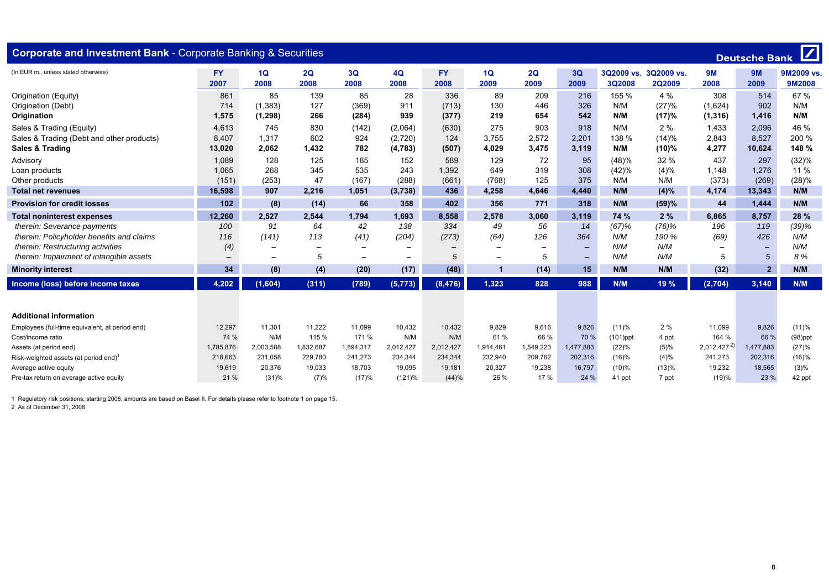| <b>Corporate and Investment Bank - Corporate Banking &amp; Securities</b> |                   |                          |                          |                          |                   |                   |                          |            |                          |                             |                             |                 |                | Deutsche Bank               |
|---------------------------------------------------------------------------|-------------------|--------------------------|--------------------------|--------------------------|-------------------|-------------------|--------------------------|------------|--------------------------|-----------------------------|-----------------------------|-----------------|----------------|-----------------------------|
| (In EUR m., unless stated otherwise)                                      | <b>FY</b><br>2007 | 1Q<br>2008               | 2Q<br>2008               | 3Q<br>2008               | 4Q<br>2008        | <b>FY</b><br>2008 | 1Q<br>2009               | 2Q<br>2009 | 3Q<br>2009               | 3Q2009 vs.<br><b>3Q2008</b> | 3Q2009 vs.<br><b>2Q2009</b> | 9M<br>2008      | 9M<br>2009     | 9M2009 vs.<br><b>9M2008</b> |
| Origination (Equity)                                                      | 861               | 85                       | 139                      | 85                       | 28                | 336               | 89                       | 209        | 216                      | 155 %                       | 4 %                         | 308             | 514            | 67 %                        |
| Origination (Debt)                                                        | 714               | (1, 383)                 | 127                      | (369)                    | 911               | (713)             | 130                      | 446        | 326                      | N/M                         | (27)%                       | (1,624)         | 902            | N/M                         |
| Origination                                                               | 1,575             | (1, 298)                 | 266                      | (284)                    | 939               | (377)             | 219                      | 654        | 542                      | N/M                         | (17)%                       | (1, 316)        | 1,416          | N/M                         |
| Sales & Trading (Equity)                                                  | 4,613             | 745                      | 830                      | (142)                    | (2,064)           | (630)             | 275                      | 903        | 918                      | N/M                         | 2%                          | 1,433           | 2,096          | 46 %                        |
| Sales & Trading (Debt and other products)                                 | 8,407             | 1,317                    | 602                      | 924                      | (2,720)           | 124               | 3,755                    | 2,572      | 2.201                    | 138 %                       | (14)%                       | 2,843           | 8,527          | 200 %                       |
| <b>Sales &amp; Trading</b>                                                | 13,020            | 2,062                    | 1,432                    | 782                      | (4, 783)          | (507)             | 4,029                    | 3,475      | 3,119                    | N/M                         | (10)%                       | 4,277           | 10,624         | 148 %                       |
| Advisory                                                                  | 1,089             | 128                      | 125                      | 185                      | 152               | 589               | 129                      | 72         | 95                       | (48)%                       | 32 %                        | 437             | 297            | (32)%                       |
| Loan products                                                             | 1,065             | 268                      | 345                      | 535                      | 243               | 1,392             | 649                      | 319        | 308                      | (42)%                       | (4)%                        | 1.148           | 1.276          | 11 %                        |
| Other products                                                            | (151)             | (253)                    | 47                       | (167)                    | (288)             | (661)             | (768)                    | 125        | 375                      | N/M                         | N/M                         | (373)           | (269)          | (28)%                       |
| <b>Total net revenues</b>                                                 | 16.598            | 907                      | 2,216                    | 1,051                    | (3,738)           | 436               | 4,258                    | 4.646      | 4,440                    | N/M                         | (4)%                        | 4,174           | 13.343         | N/M                         |
| <b>Provision for credit losses</b>                                        | 102               | (8)                      | (14)                     | 66                       | 358               | 402               | 356                      | 771        | 318                      | N/M                         | (59)%                       | 44              | 1,444          | N/M                         |
| <b>Total noninterest expenses</b>                                         | 12,260            | 2,527                    | 2,544                    | 1,794                    | 1,693             | 8,558             | 2,578                    | 3.060      | 3,119                    | 74 %                        | 2%                          | 6.865           | 8,757          | 28 %                        |
| therein: Severance payments                                               | 100               | 91                       | 64                       | 42                       | 138               | 334               | 49                       | 56         | 14                       | (67)%                       | (76)%                       | 196             | 119            | (39)%                       |
| therein: Policyholder benefits and claims                                 | 116               | (141)                    | 113                      | (41)                     | (204)             | (273)             | (64)                     | 126        | 364                      | N/M                         | 190 %                       | (69)            | 426            | N/M                         |
| therein: Restructuring activities                                         | (4)               | $\overline{\phantom{0}}$ | $\overline{\phantom{0}}$ | $\overline{\phantom{0}}$ | $\qquad \qquad$   |                   | $\qquad \qquad$          |            | $\overline{\phantom{a}}$ | N/M                         | N/M                         |                 |                | N/M                         |
| therein: Impairment of intangible assets                                  | $\qquad \qquad -$ | $\overline{\phantom{0}}$ | 5                        | $\overline{\phantom{0}}$ | $\qquad \qquad -$ | 5                 | $\overline{\phantom{0}}$ | 5          | $\qquad \qquad -$        | N/M                         | N/M                         | 5               | 5              | 8%                          |
| <b>Minority interest</b>                                                  | 34                | (8)                      | (4)                      | (20)                     | (17)              | (48)              | $\mathbf 1$              | (14)       | 15                       | N/M                         | N/M                         | (32)            | 2 <sup>1</sup> | N/M                         |
| Income (loss) before income taxes                                         | 4,202             | (1,604)                  | (311)                    | (789)                    | (5, 773)          | (8, 476)          | 1,323                    | 828        | 988                      | N/M                         | 19 %                        | (2, 704)        | 3,140          | N/M                         |
|                                                                           |                   |                          |                          |                          |                   |                   |                          |            |                          |                             |                             |                 |                |                             |
| <b>Additional information</b>                                             |                   |                          |                          |                          |                   |                   |                          |            |                          |                             |                             |                 |                |                             |
| Employees (full-time equivalent, at period end)                           | 12,297            | 11,301                   | 11,222                   | 11,099                   | 10,432            | 10,432            | 9,829                    | 9.616      | 9,826                    | (11)%                       | 2%                          | 11,099          | 9,826          | (11)%                       |
| Cost/income ratio                                                         | 74 %              | N/M                      | 115 %                    | 171 %                    | N/M               | N/M               | 61 %                     | 66 %       | 70 %                     | $(101)$ ppt                 | 4 ppt                       | 164 %           | 66 %           | $(98)$ ppt                  |
| Assets (at period end)                                                    | 1,785,876         | 2,003,588                | 1,832,687                | 1,894,317                | 2,012,427         | 2,012,427         | 1,914,461                | 1,549,223  | 1,477,883                | (22)%                       | (5)%                        | $2,012,427^{2}$ | 1,477,883      | (27)%                       |
| Risk-weighted assets (at period end) <sup>1</sup>                         | 218,663           | 231,058                  | 229,780                  | 241,273                  | 234,344           | 234,344           | 232,940                  | 209,762    | 202,316                  | (16)%                       | (4)%                        | 241,273         | 202,316        | (16)%                       |
| Average active equity                                                     | 19,619            | 20,376                   | 19,033                   | 18,703                   | 19,095            | 19,181            | 20,327                   | 19,238     | 16,797                   | (10)%                       | (13)%                       | 19,232          | 18,565         | (3)%                        |
| Pre-tax return on average active equity                                   | 21 %              | (31)%                    | (7)%                     | (17)%                    | (121)%            | (44)%             | 26 %                     | 17 %       | 24 %                     | 41 ppt                      | 7 ppt                       | (19)%           | 23 %           | 42 ppt                      |

2 As of December 31, 2008

٠Î,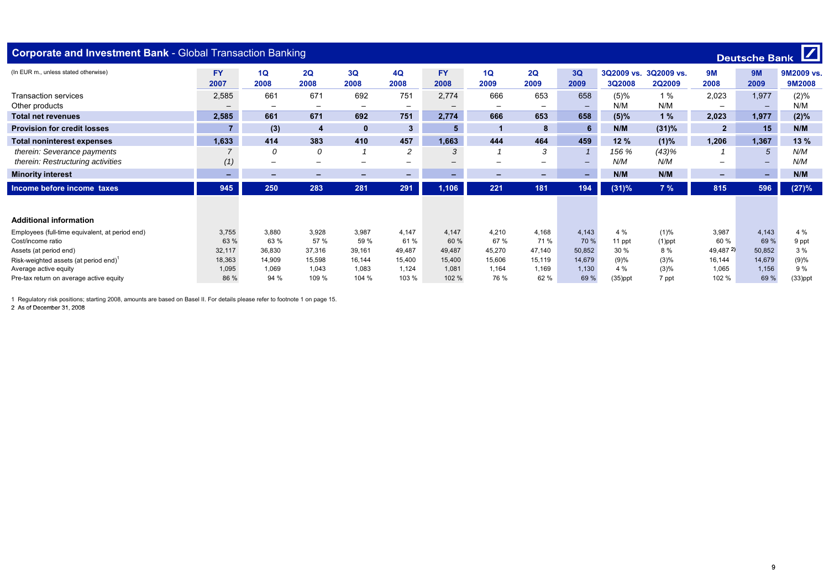| Deutsche Bank<br><b>Corporate and Investment Bank - Global Transaction Banking</b> |           |                          |                          |                          |                          |           |                          |                          |                          |            |               |                          |                          |            |
|------------------------------------------------------------------------------------|-----------|--------------------------|--------------------------|--------------------------|--------------------------|-----------|--------------------------|--------------------------|--------------------------|------------|---------------|--------------------------|--------------------------|------------|
| (In EUR m., unless stated otherwise)                                               | <b>FY</b> | 1Q                       | 2Q                       | 3Q                       | 4Q                       | <b>FY</b> | 1Q                       | 2Q                       | 3Q                       | 3Q2009 vs. | 3Q2009 vs.    | 9M                       | <b>9M</b>                | 9M2009 vs. |
|                                                                                    | 2007      | 2008                     | 2008                     | 2008                     | 2008                     | 2008      | 2009                     | 2009                     | 2009                     | 3Q2008     | <b>2Q2009</b> | 2008                     | 2009                     | 9M2008     |
| <b>Transaction services</b>                                                        | 2,585     | 661                      | 671                      | 692                      | 751                      | 2,774     | 666                      | 653                      | 658                      | (5)%       | 1%            | 2,023                    | 1,977                    | (2)%       |
| Other products                                                                     |           | $\overline{\phantom{0}}$ | $\overline{\phantom{0}}$ | $\overline{\phantom{m}}$ | $\overline{\phantom{0}}$ |           | $\overline{\phantom{m}}$ | $\overline{\phantom{a}}$ | $\overline{\phantom{0}}$ | N/M        | N/M           | $\overline{\phantom{0}}$ | $\overline{\phantom{a}}$ | N/M        |
| <b>Total net revenues</b>                                                          | 2,585     | 661                      | 671                      | 692                      | 751                      | 2,774     | 666                      | 653                      | 658                      | $(5)\%$    | 1%            | 2.023                    | 1,977                    | (2)%       |
| <b>Provision for credit losses</b>                                                 |           | (3)                      | 4                        | $\mathbf{0}$             | 3 <sup>1</sup>           | 5         |                          | 8                        | 6                        | N/M        | (31)%         | $\overline{2}$           | 15                       | N/M        |
| <b>Total noninterest expenses</b>                                                  | 1,633     | 414                      | 383                      | 410                      | 457                      | 1,663     | 444                      | 464                      | 459                      | 12%        | (1)%          | 1,206                    | 1,367                    | 13%        |
| therein: Severance payments                                                        |           | 0                        | 0                        |                          | 2                        | 3         |                          | 3                        |                          | 156 %      | (43)%         |                          | 5                        | N/M        |
| therein: Restructuring activities                                                  | (1)       | —                        | -                        | $\overline{\phantom{0}}$ | -                        |           | -                        | -                        | -                        | N/M        | N/M           | $\overline{\phantom{0}}$ | $\overline{\phantom{0}}$ | N/M        |
| <b>Minority interest</b>                                                           | -         | -                        | $\overline{\phantom{0}}$ | -                        | $\overline{\phantom{0}}$ | -         | -                        | $\overline{\phantom{0}}$ | $\sim$                   | N/M        | N/M           | $\overline{\phantom{0}}$ | -                        | N/M        |
| Income before income taxes                                                         | 945       | 250                      | 283                      | 281                      | 291                      | 1,106     | 221                      | 181                      | 194                      | (31)%      | 7%            | 815                      | 596                      | (27)%      |
|                                                                                    |           |                          |                          |                          |                          |           |                          |                          |                          |            |               |                          |                          |            |
| <b>Additional information</b>                                                      |           |                          |                          |                          |                          |           |                          |                          |                          |            |               |                          |                          |            |
| Employees (full-time equivalent, at period end)                                    | 3,755     | 3,880                    | 3,928                    | 3,987                    | 4,147                    | 4.147     | 4,210                    | 4,168                    | 4,143                    | 4 %        | (1)%          | 3,987                    | 4,143                    | 4 %        |
| Cost/income ratio                                                                  | 63 %      | 63 %                     | 57 %                     | 59 %                     | 61%                      | 60 %      | 67 %                     | 71 %                     | 70 %                     | 11 ppt     | $(1)$ ppt     | 60 %                     | 69 %                     | 9 ppt      |
| Assets (at period end)                                                             | 32.117    | 36,830                   | 37,316                   | 39,161                   | 49.487                   | 49.487    | 45.270                   | 47.140                   | 50,852                   | 30 %       | 8%            | 49,487 2)                | 50,852                   | 3%         |
| Risk-weighted assets (at period end) <sup>1</sup>                                  | 18,363    | 14.909                   | 15,598                   | 16,144                   | 15.400                   | 15,400    | 15.606                   | 15,119                   | 14.679                   | (9)%       | (3)%          | 16,144                   | 14,679                   | (9)%       |
| Average active equity                                                              | 1,095     | 1,069                    | 1,043                    | 1,083                    | 1,124                    | 1,081     | 1,164                    | 1,169                    | 1.130                    | 4 %        | (3)%          | 1,065                    | 1,156                    | 9 %        |
| Pre-tax return on average active equity                                            | 86 %      | 94 %                     | 109 %                    | 104 %                    | 103 %                    | 102 %     | 76 %                     | 62 %                     | 69 %                     | $(35)$ ppt | 7 ppt         | 102 %                    | 69 %                     | $(33)$ ppt |

2 As of December 31 2008  $\lambda$ s af besonder 31, 2018<br>1988 – As af besonder 31, 2018<br>1988 – As af besonder 31, 2018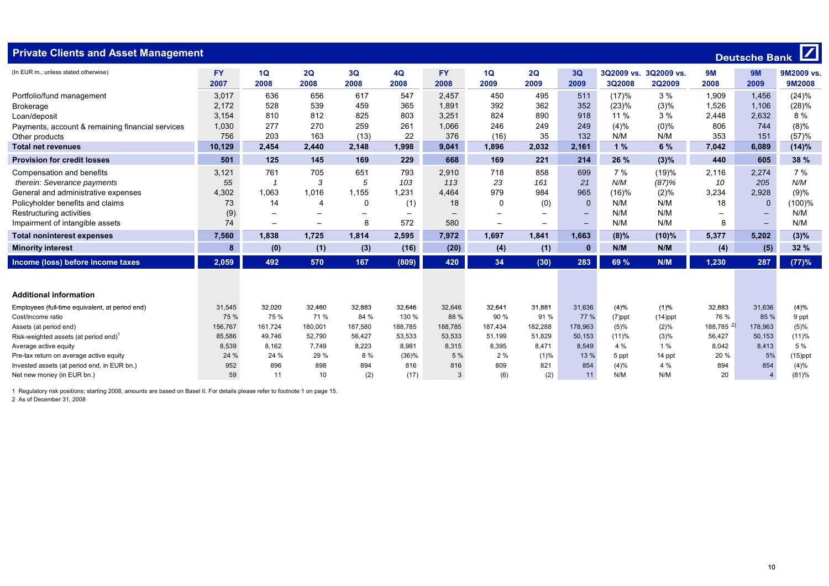| Deutsche Bank<br><b>Private Clients and Asset Management</b> |                   |                   |                          |            |                          |                          |            |                          |                          |           |                                        |            |                   |                      |
|--------------------------------------------------------------|-------------------|-------------------|--------------------------|------------|--------------------------|--------------------------|------------|--------------------------|--------------------------|-----------|----------------------------------------|------------|-------------------|----------------------|
| (In EUR m., unless stated otherwise)                         | <b>FY</b><br>2007 | 1Q<br>2008        | 2Q<br>2008               | 3Q<br>2008 | 4Q<br>2008               | <b>FY</b><br>2008        | 1Q<br>2009 | 2Q<br>2009               | 3Q<br>2009               | 3Q2008    | 3Q2009 vs. 3Q2009 vs.<br><b>2Q2009</b> | 9M<br>2008 | <b>9M</b><br>2009 | 9M2009 vs.<br>9M2008 |
| Portfolio/fund management                                    | 3,017             | 636               | 656                      | 617        | 547                      | 2,457                    | 450        | 495                      | 511                      | (17)%     | 3%                                     | 1,909      | 1,456             | (24)%                |
| <b>Brokerage</b>                                             | 2,172             | 528               | 539                      | 459        | 365                      | 1,891                    | 392        | 362                      | 352                      | (23)%     | (3)%                                   | 1,526      | 1,106             | (28)%                |
| Loan/deposit                                                 | 3,154             | 810               | 812                      | 825        | 803                      | 3,251                    | 824        | 890                      | 918                      | 11 %      | 3%                                     | 2,448      | 2,632             | 8 %                  |
| Payments, account & remaining financial services             | 1,030             | 277               | 270                      | 259        | 261                      | 1,066                    | 246        | 249                      | 249                      | (4)%      | $(0)\%$                                | 806        | 744               | $(8)\%$              |
| Other products                                               | 756               | 203               | 163                      | (13)       | 22                       | 376                      | (16)       | 35                       | 132                      | N/M       | N/M                                    | 353        | 151               | (57)%                |
| <b>Total net revenues</b>                                    | 10,129            | 2,454             | 2,440                    | 2,148      | 1,998                    | 9,041                    | 1,896      | 2,032                    | 2,161                    | 1%        | 6 %                                    | 7,042      | 6,089             | (14)%                |
| <b>Provision for credit losses</b>                           | 501               | 125               | 145                      | 169        | 229                      | 668                      | 169        | 221                      | 214                      | 26 %      | (3)%                                   | 440        | 605               | 38 %                 |
| Compensation and benefits                                    | 3,121             | 761               | 705                      | 651        | 793                      | 2,910                    | 718        | 858                      | 699                      | 7%        | (19)%                                  | 2,116      | 2,274             | 7%                   |
| therein: Severance payments                                  | 55                |                   | 3                        | 5          | 103                      | 113                      | 23         | 161                      | 21                       | N/M       | (87)%                                  | 10         | 205               | N/M                  |
| General and administrative expenses                          | 4,302             | 1,063             | 1,016                    | 1,155      | 1,231                    | 4,464                    | 979        | 984                      | 965                      | (16)%     | (2)%                                   | 3,234      | 2,928             | (9)%                 |
| Policyholder benefits and claims                             | 73                | 14                | $\overline{4}$           | 0          | (1)                      | 18                       | $\Omega$   | (0)                      | $\Omega$                 | N/M       | N/M                                    | 18         | $\Omega$          | (100)%               |
| Restructuring activities                                     | (9)               |                   | $\overline{\phantom{m}}$ |            | $\overline{\phantom{0}}$ | $\overline{\phantom{0}}$ |            | $\qquad \qquad -$        | $\overline{\phantom{0}}$ | N/M       | N/M                                    |            |                   | N/M                  |
| Impairment of intangible assets                              | 74                | $\qquad \qquad -$ | $\overline{\phantom{0}}$ | 8          | 572                      | 580                      |            | $\overline{\phantom{m}}$ | $\qquad \qquad -$        | N/M       | N/M                                    | 8          | $\qquad \qquad -$ | N/M                  |
| <b>Total noninterest expenses</b>                            | 7,560             | 1,838             | 1,725                    | 1,814      | 2,595                    | 7,972                    | 1,697      | 1,841                    | 1,663                    | (8)%      | (10)%                                  | 5,377      | 5,202             | (3)%                 |
| <b>Minority interest</b>                                     | 8                 | (0)               | (1)                      | (3)        | (16)                     | (20)                     | (4)        | (1)                      | $\bf{0}$                 | N/M       | N/M                                    | (4)        | (5)               | 32 %                 |
| Income (loss) before income taxes                            | 2,059             | 492               | 570                      | 167        | (809)                    | 420                      | 34         | (30)                     | 283                      | 69 %      | N/M                                    | 1,230      | 287               | (77)%                |
| <b>Additional information</b>                                |                   |                   |                          |            |                          |                          |            |                          |                          |           |                                        |            |                   |                      |
| Employees (full-time equivalent, at period end)              | 31,545            | 32,020            | 32,460                   | 32,883     | 32,646                   | 32,646                   | 32.641     | 31,881                   | 31,636                   | (4)%      | (1)%                                   | 32,883     | 31,636            | (4)%                 |
| Cost/income ratio                                            | 75 %              | 75 %              | 71 %                     | 84 %       | 130 %                    | 88 %                     | 90 %       | 91%                      | 77 %                     | $(7)$ ppt | $(14)$ ppt                             | 76 %       | 85 %              | 9 ppt                |
| Assets (at period end)                                       | 156,767           | 161,724           | 180,001                  | 187,580    | 188,785                  | 188,785                  | 187,434    | 182,288                  | 178,963                  | (5)%      | (2)%                                   | 188,785 2) | 178,963           | (5)%                 |
| Risk-weighted assets (at period end)                         | 85,586            | 49,746            | 52,790                   | 56,427     | 53,533                   | 53,533                   | 51,199     | 51,829                   | 50,153                   | (11)%     | (3)%                                   | 56,427     | 50,153            | (11)%                |
| Average active equity                                        | 8,539             | 8,162             | 7.749                    | 8,223      | 8,981                    | 8,315                    | 8,395      | 8.471                    | 8,549                    | 4 %       | 1%                                     | 8,042      | 8,413             | 5 %                  |
| Pre-tax return on average active equity                      | 24 %              | 24 %              | 29 %                     | 8 %        | (36)%                    | 5 %                      | 2%         | (1)%                     | 13 %                     | 5 ppt     | 14 ppt                                 | 20 %       | 5%                | $(15)$ ppt           |
| Invested assets (at period end, in EUR bn.)                  | 952               | 896               | 898                      | 894        | 816                      | 816                      | 809        | 821                      | 854                      | (4)%      | 4 %                                    | 894        | 854               | (4)%                 |
| Net new money (in EUR bn.)                                   | 59                | 11                | 10                       | (2)        | (17)                     | $\mathcal{A}$            | (6)        | (2)                      | 11                       | N/M       | N/M                                    | 20         | $\overline{4}$    | (81)%                |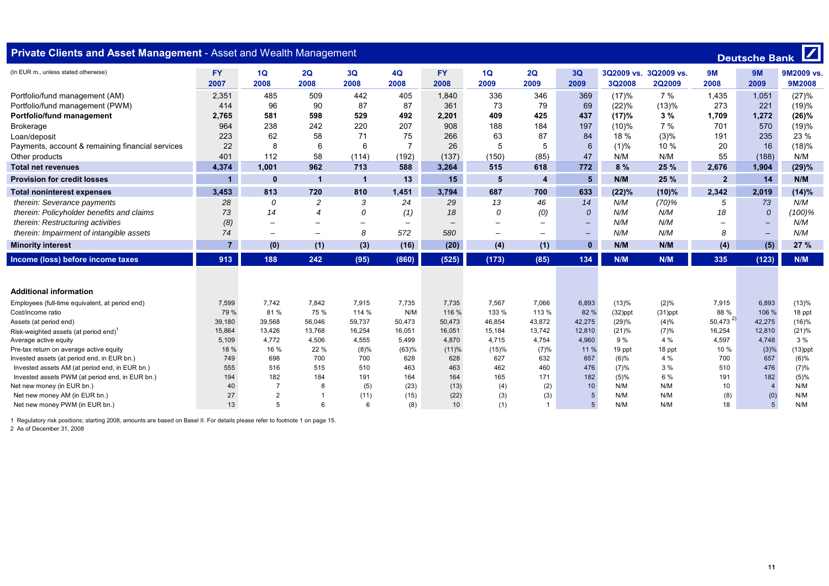| Private Clients and Asset Management - Asset and Wealth Management                                |                   |                          |                  |                          |                          |                          |            |                          |                   |               |                                        |                        | <b>Deutsche Bank</b>     | $\mathbf Z$                 |
|---------------------------------------------------------------------------------------------------|-------------------|--------------------------|------------------|--------------------------|--------------------------|--------------------------|------------|--------------------------|-------------------|---------------|----------------------------------------|------------------------|--------------------------|-----------------------------|
| (In EUR m., unless stated otherwise)                                                              | <b>FY</b><br>2007 | 1Q<br>2008               | 2Q<br>2008       | 3Q<br>2008               | 4Q<br>2008               | <b>FY</b><br>2008        | 1Q<br>2009 | 2Q<br>2009               | 3Q<br>2009        | <b>3Q2008</b> | 3Q2009 vs. 3Q2009 vs.<br><b>2Q2009</b> | <b>9M</b><br>2008      | <b>9M</b><br>2009        | 9M2009 vs.<br><b>9M2008</b> |
| Portfolio/fund management (AM)                                                                    | 2,351             | 485                      | 509              | 442                      | 405                      | 1,840                    | 336        | 346                      | 369               | (17)%         | 7 %                                    | 1,435                  | 1,051                    | (27)%                       |
| Portfolio/fund management (PWM)                                                                   | 414               | 96                       | 90               | 87                       | 87                       | 361                      | 73         | 79                       | 69                | (22)%         | (13)%                                  | 273                    | 221                      | (19)%                       |
| Portfolio/fund management                                                                         | 2,765             | 581                      | 598              | 529                      | 492                      | 2,201                    | 409        | 425                      | 437               | (17)%         | 3%                                     | 1,709                  | 1,272                    | (26)%                       |
| <b>Brokerage</b>                                                                                  | 964               | 238                      | 242              | 220                      | 207                      | 908                      | 188        | 184                      | 197               | (10)%         | 7 %                                    | 701                    | 570                      | (19)%                       |
| Loan/deposit                                                                                      | 223               | 62                       | 58               | 71                       | 75                       | 266                      | 63         | 87                       | 84                | 18 %          | (3)%                                   | 191                    | 235                      | 23 %                        |
| Payments, account & remaining financial services                                                  | 22                | 8                        | 6                | 6                        | $\overline{7}$           | 26                       | 5          | 5                        | 6                 | (1)%          | 10%                                    | 20                     | 16                       | (18)%                       |
| Other products                                                                                    | 401               | 112                      | 58               | (114)                    | (192)                    | (137)                    | (150)      | (85)                     | 47                | N/M           | N/M                                    | 55                     | (188)                    | N/M                         |
| <b>Total net revenues</b>                                                                         | 4,374             | 1,001                    | 962              | 713                      | 588                      | 3,264                    | 515        | 618                      | 772               | 8%            | 25 %                                   | 2,676                  | 1,904                    | (29)%                       |
| <b>Provision for credit losses</b>                                                                | $\overline{1}$    | $\mathbf{0}$             |                  | 1                        | 13                       | 15                       | 5          | $\overline{4}$           | $5\phantom{1}$    | N/M           | 25 %                                   | $\overline{2}$         | 14                       | N/M                         |
| <b>Total noninterest expenses</b>                                                                 | 3,453             | 813                      | 720              | 810                      | 1.451                    | 3,794                    | 687        | 700                      | 633               | (22)%         | (10)%                                  | 2,342                  | 2,019                    | (14)%                       |
| therein: Severance payments                                                                       | 28                | 0                        | $\overline{c}$   | 3                        | 24                       | 29                       | 13         | 46                       | 14                | N/M           | $(70)$ %                               | 5                      | 73                       | N/M                         |
| therein: Policyholder benefits and claims                                                         | 73                | 14                       | $\boldsymbol{4}$ | $\Omega$                 | (1)                      | 18                       | 0          | (0)                      | 0                 | N/M           | N/M                                    | 18                     | $\theta$                 | (100)%                      |
| therein: Restructuring activities                                                                 | (8)               | $\overline{\phantom{m}}$ |                  | $\overline{\phantom{0}}$ | $\overline{\phantom{a}}$ | $\overline{\phantom{m}}$ |            | $\overline{\phantom{m}}$ | $\qquad \qquad -$ | N/M           | N/M                                    |                        | $\overline{\phantom{0}}$ | N/M                         |
| therein: Impairment of intangible assets                                                          | 74                | $\equiv$                 |                  | 8                        | 572                      | 580                      | $\sim$     | $\equiv$                 | $\qquad \qquad -$ | N/M           | N/M                                    | 8                      | $\qquad \qquad -$        | N/M                         |
| <b>Minority interest</b>                                                                          | $\overline{7}$    | (0)                      | (1)              | (3)                      | (16)                     | (20)                     | (4)        | (1)                      | $\mathbf{0}$      | N/M           | N/M                                    | (4)                    | (5)                      | 27%                         |
| Income (loss) before income taxes                                                                 | 913               | 188                      | 242              | (95)                     | (860)                    | (525)                    | (173)      | (85)                     | 134               | N/M           | N/M                                    | 335                    | (123)                    | N/M                         |
|                                                                                                   |                   |                          |                  |                          |                          |                          |            |                          |                   |               |                                        |                        |                          |                             |
| <b>Additional information</b>                                                                     |                   |                          |                  |                          |                          |                          |            |                          |                   |               |                                        |                        |                          |                             |
| Employees (full-time equivalent, at period end)                                                   | 7,599             | 7,742                    | 7,842            | 7,915                    | 7,735                    | 7,735                    | 7,567      | 7,066                    | 6,893             | (13)%         | (2)%                                   | 7,915                  | 6,893                    | (13)%                       |
| Cost/income ratio                                                                                 | 79 %              | 81 %                     | 75 %             | 114 %                    | N/M                      | 116 %                    | 133 %      | 113 %                    | 82 %              | $(32)$ ppt    | $(31)$ ppt                             | 88 %                   | 106 %                    | 18 ppt                      |
| Assets (at period end)                                                                            | 39,180            | 39,568                   | 56,046           | 59,737                   | 50,473                   | 50,473                   | 46,854     | 43,872                   | 42,275            | (29)%         | (4)%                                   | $50,473$ <sup>2)</sup> | 42,275                   | (16)%                       |
| Risk-weighted assets (at period end) <sup>1</sup>                                                 | 15,864            | 13,426                   | 13,768           | 16,254                   | 16,051                   | 16,051                   | 15,184     | 13,742                   | 12,810            | (21)%         | (7)%                                   | 16,254                 | 12,810                   | (21)%                       |
| Average active equity                                                                             | 5,109             | 4,772                    | 4,506            | 4,555                    | 5,499                    | 4,870                    | 4,715      | 4,754                    | 4,960             | 9 %           | 4 %                                    | 4,597                  | 4,748                    | 3%                          |
| Pre-tax return on average active equity                                                           | 18 %              | 16 %                     | 22 %             | (8)%                     | (63)%                    | (11)%                    | (15)%      | (7)%                     | 11 %              | 19 ppt        | 18 ppt                                 | 10 %                   | (3)%                     | $(13)$ ppt                  |
| Invested assets (at period end, in EUR bn.)                                                       | 749               | 698<br>516               | 700              | 700<br>510               | 628                      | 628                      | 627        | 632<br>460               | 657               | (6)%          | 4 %                                    | 700<br>510             | 657                      | (6)%                        |
| Invested assets AM (at period end, in EUR bn.)<br>Invested assets PWM (at period end, in EUR bn.) | 555<br>194        | 182                      | 515<br>184       | 191                      | 463<br>164               | 463<br>164               | 462<br>165 | 171                      | 476<br>182        | (7)%<br>(5)%  | 3 %<br>6 %                             | 191                    | 476<br>182               | (7)%<br>(5)%                |
| Net new money (in EUR bn.)                                                                        | 40                | $\overline{7}$           | 8                | (5)                      | (23)                     | (13)                     | (4)        | (2)                      | 10                | N/M           | N/M                                    | 10                     | $\overline{4}$           | N/M                         |
| Net new money AM (in EUR bn.)                                                                     | 27                | $\overline{2}$           |                  | (11)                     | (15)                     | (22)                     | (3)        | (3)                      | 5                 | N/M           | N/M                                    | (8)                    | (0)                      | N/M                         |
| Net new money PWM (in EUR bn.)                                                                    | 13                | 5                        | 6                | 6                        | (8)                      | 10 <sup>1</sup>          | (1)        | $\overline{1}$           |                   | N/M           | N/M                                    | 18                     | 5 <sup>5</sup>           | N/M                         |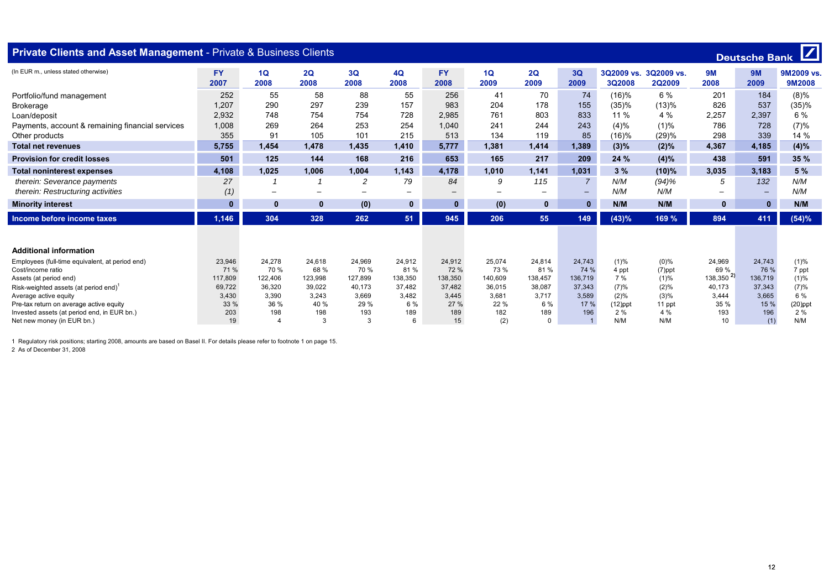| Deutsche Bank<br><b>Private Clients and Asset Management - Private &amp; Business Clients</b> |                   |                                |            |                          |                          |                   |                          |              |                              |                             |                             |                          |             |                      |
|-----------------------------------------------------------------------------------------------|-------------------|--------------------------------|------------|--------------------------|--------------------------|-------------------|--------------------------|--------------|------------------------------|-----------------------------|-----------------------------|--------------------------|-------------|----------------------|
| (In EUR m., unless stated otherwise)                                                          | <b>FY</b><br>2007 | 1Q<br>2008                     | 2Q<br>2008 | 3Q<br>2008               | <b>4Q</b><br>2008        | <b>FY</b><br>2008 | 1Q<br>2009               | 2Q<br>2009   | 3Q<br>2009                   | 3Q2009 vs.<br><b>3Q2008</b> | 3Q2009 vs.<br><b>2Q2009</b> | 9M<br>2008               | 9M<br>2009  | 9M2009 vs.<br>9M2008 |
| Portfolio/fund management                                                                     | 252               | 55                             | 58         | 88                       | 55                       | 256               | 41                       | 70           | 74                           | (16)%                       | 6 %                         | 201                      | 184         | (8)%                 |
| <b>Brokerage</b>                                                                              | 1,207             | 290                            | 297        | 239                      | 157                      | 983               | 204                      | 178          | 155                          | (35)%                       | (13)%                       | 826                      | 537         | (35)%                |
| Loan/deposit                                                                                  | 2,932             | 748                            | 754        | 754                      | 728                      | 2,985             | 761                      | 803          | 833                          | 11 %                        | 4 %                         | 2,257                    | 2,397       | 6 %                  |
| Payments, account & remaining financial services                                              | 1.008             | 269                            | 264        | 253                      | 254                      | 1.040             | 241                      | 244          | 243                          | (4)%                        | (1)%                        | 786                      | 728         | (7)%                 |
| Other products                                                                                | 355               | 91                             | 105        | 101                      | 215                      | 513               | 134                      | 119          | 85                           | (16)%                       | (29)%                       | 298                      | 339         | 14 %                 |
| <b>Total net revenues</b>                                                                     | 5.755             | 1.454                          | 1.478      | 1.435                    | 1.410                    | 5,777             | 1,381                    | 1.414        | 1,389                        | $(3)\%$                     | (2)%                        | 4,367                    | 4.185       | (4)%                 |
| <b>Provision for credit losses</b>                                                            | 501               | 125                            | 144        | 168                      | 216                      | 653               | 165                      | 217          | 209                          | 24 %                        | (4)%                        | 438                      | 591         | 35%                  |
| <b>Total noninterest expenses</b>                                                             | 4,108             | 1,025                          | 1,006      | 1,004                    | 1,143                    | 4,178             | 1,010                    | 1.141        | 1,031                        | 3%                          | (10)%                       | 3,035                    | 3,183       | 5 %                  |
| therein: Severance payments                                                                   | 27                |                                |            | $\overline{c}$           | 79                       | 84                | 9                        | 115          | $\overline{7}$               | N/M                         | (94)%                       | 5                        | 132         | N/M                  |
| therein: Restructuring activities                                                             | (1)               | $\overline{\phantom{0}}$       | $-$        | $\overline{\phantom{0}}$ | $\overline{\phantom{0}}$ | -                 | $\overline{\phantom{0}}$ | -            | $\qquad \qquad \blacksquare$ | N/M                         | N/M                         | $\overline{\phantom{0}}$ | -           | N/M                  |
| <b>Minority interest</b>                                                                      | $\mathbf{0}$      | $\mathbf{0}$                   | $\bf{0}$   | (0)                      | $\mathbf{0}$             | $\mathbf{0}$      | (0)                      | $\mathbf{0}$ | $\mathbf{0}$                 | N/M                         | N/M                         | $\mathbf{0}$             | $\mathbf 0$ | N/M                  |
| Income before income taxes                                                                    | 1,146             | 304                            | 328        | 262                      | 51                       | 945               | 206                      | 55           | 149                          | (43)%                       | 169 %                       | 894                      | 411         | (54)%                |
| <b>Additional information</b>                                                                 |                   |                                |            |                          |                          |                   |                          |              |                              |                             |                             |                          |             |                      |
| Employees (full-time equivalent, at period end)                                               | 23,946            | 24.278                         | 24,618     | 24,969                   | 24,912                   | 24,912            | 25,074                   | 24,814       | 24,743                       | (1)%                        | $(0)\%$                     | 24,969                   | 24,743      | (1)%                 |
| Cost/income ratio                                                                             | 71 %              | 70 %                           | 68 %       | 70 %                     | 81 %                     | 72 %              | 73 %                     | 81%          | 74 %                         | 4 ppt                       | $(7)$ ppt                   | 69 %                     | 76 %        | 7 ppt                |
| Assets (at period end)                                                                        | 117,809           | 122,406                        | 123,998    | 127,899                  | 138,350                  | 138,350           | 140,609                  | 138,457      | 136,719                      | 7 %                         | (1)%                        | 138,350 <sup>2</sup>     | 136,719     | (1)%                 |
| Risk-weighted assets (at period end)                                                          | 69,722            | 36,320                         | 39,022     | 40.173                   | 37.482                   | 37,482            | 36,015                   | 38,087       | 37,343                       | (7)%                        | (2)%                        | 40,173                   | 37,343      | (7)%                 |
| Average active equity                                                                         | 3,430             | 3,390                          | 3.243      | 3,669                    | 3,482                    | 3,445             | 3,681                    | 3.717        | 3,589                        | (2)%                        | (3)%                        | 3,444                    | 3,665       | 6 %                  |
| Pre-tax return on average active equity                                                       | 33 %              | 36 %                           | 40 %       | 29 %                     | 6 %                      | 27 %              | 22 %                     | 6 %          | 17 %                         | $(12)$ ppt                  | 11 ppt                      | 35 %                     | 15 %        | $(20)$ ppt           |
| Invested assets (at period end, in EUR bn.)                                                   | 203               | 198<br>$\overline{\mathbf{A}}$ | 198<br>3   | 193<br>3                 | 189<br>6                 | 189<br>15         | 182                      | 189          | 196                          | 2%<br>N/M                   | 4 %<br>N/M                  | 193                      | 196         | 2 %<br>N/M           |
| Net new money (in EUR bn.)                                                                    | 19                |                                |            |                          |                          |                   | (2)                      | $\Omega$     |                              |                             |                             | 10                       | (1)         |                      |

 $\overline{\phantom{a}}$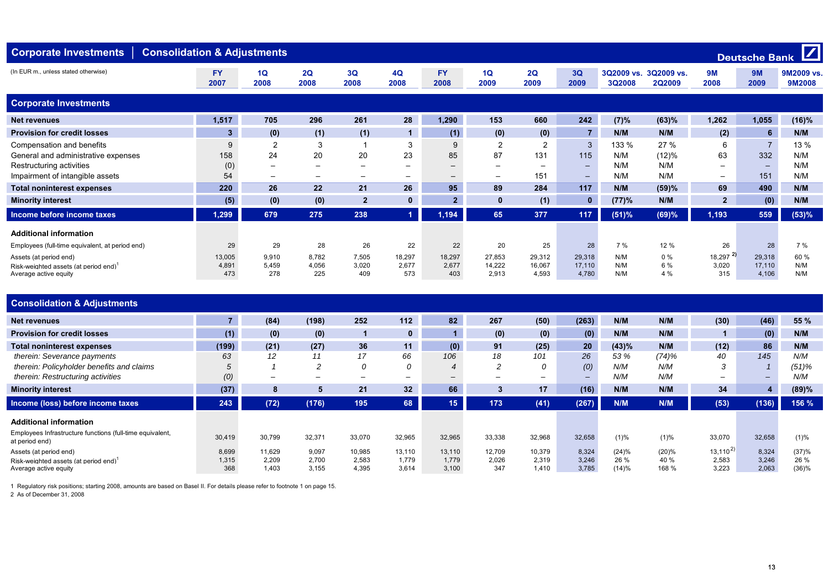| <b>Consolidation &amp; Adjustments</b><br><b>Corporate Investments</b>                                                          |                        |                                                                     |                                     |                                                            |                                                                 |                                     |                                |                                             |                                                  |                            |                             |                                                                 | Deutsche Bank             | $\boxed{Z}$               |
|---------------------------------------------------------------------------------------------------------------------------------|------------------------|---------------------------------------------------------------------|-------------------------------------|------------------------------------------------------------|-----------------------------------------------------------------|-------------------------------------|--------------------------------|---------------------------------------------|--------------------------------------------------|----------------------------|-----------------------------|-----------------------------------------------------------------|---------------------------|---------------------------|
| (In EUR m., unless stated otherwise)                                                                                            | <b>FY</b><br>2007      | 1Q<br>2008                                                          | 2Q<br>2008                          | 3Q<br>2008                                                 | 4Q<br>2008                                                      | <b>FY</b><br>2008                   | 1Q<br>2009                     | 2Q<br>2009                                  | 3Q<br>2009                                       | 3Q2009 vs.<br>3Q2008       | 3Q2009 vs.<br><b>2Q2009</b> | 9M<br>2008                                                      | 9M<br>2009                | 9M2009 vs.<br>9M2008      |
| <b>Corporate Investments</b>                                                                                                    |                        |                                                                     |                                     |                                                            |                                                                 |                                     |                                |                                             |                                                  |                            |                             |                                                                 |                           |                           |
| <b>Net revenues</b>                                                                                                             | 1,517                  | 705                                                                 | 296                                 | 261                                                        | 28                                                              | 1,290                               | 153                            | 660                                         | 242                                              | (7)%                       | (63)%                       | 1,262                                                           | 1,055                     | $(16)\%$                  |
| <b>Provision for credit losses</b>                                                                                              | $\mathbf{3}$           | (0)                                                                 | (1)                                 | (1)                                                        |                                                                 | (1)                                 | (0)                            | (0)                                         | $\overline{7}$                                   | N/M                        | N/M                         | (2)                                                             | 6                         | N/M                       |
| Compensation and benefits<br>General and administrative expenses<br>Restructuring activities<br>Impairment of intangible assets | 9<br>158<br>(0)<br>54  | $\overline{2}$<br>24<br>$\qquad \qquad$<br>$\overline{\phantom{m}}$ | 3<br>20<br>$\overline{\phantom{m}}$ | 20<br>$\overline{\phantom{m}}$<br>$\overline{\phantom{m}}$ | 3<br>23<br>$\overline{\phantom{0}}$<br>$\overline{\phantom{0}}$ | 9<br>85<br>$\overline{\phantom{m}}$ | $\overline{2}$<br>87<br>-<br>— | 2<br>131<br>$\overline{\phantom{0}}$<br>151 | 3<br>115<br><b>_</b><br>$\overline{\phantom{0}}$ | 133 %<br>N/M<br>N/M<br>N/M | 27 %<br>(12)%<br>N/M<br>N/M | 6<br>63<br>$\overline{\phantom{0}}$<br>$\overline{\phantom{0}}$ | 332<br>151                | 13 %<br>N/M<br>N/M<br>N/M |
| <b>Total noninterest expenses</b>                                                                                               | 220                    | 26                                                                  | 22                                  | 21                                                         | 26                                                              | 95                                  | 89                             | 284                                         | 117                                              | N/M                        | (59)%                       | 69                                                              | 490                       | N/M                       |
| <b>Minority interest</b>                                                                                                        | (5)                    | (0)                                                                 | (0)                                 | $\overline{2}$                                             | $\mathbf{0}$                                                    | $\mathbf{2}$                        | $\mathbf{0}$                   | (1)                                         | $\mathbf{0}$                                     | (77)%                      | N/M                         | $\overline{2}$                                                  | (0)                       | N/M                       |
| Income before income taxes                                                                                                      | 1,299                  | 679                                                                 | 275                                 | 238                                                        |                                                                 | 1,194                               | 65                             | 377                                         | 117                                              | $(51)$ %                   | (69)%                       | 1,193                                                           | 559                       | (53)%                     |
| <b>Additional information</b>                                                                                                   |                        |                                                                     |                                     |                                                            |                                                                 |                                     |                                |                                             |                                                  |                            |                             |                                                                 |                           |                           |
| Employees (full-time equivalent, at period end)                                                                                 | 29                     | 29                                                                  | 28                                  | 26                                                         | 22                                                              | 22                                  | 20                             | 25                                          | 28                                               | 7 %                        | 12 %                        | 26                                                              | 28                        | 7 %                       |
| Assets (at period end)<br>Risk-weighted assets (at period end) <sup>1</sup><br>Average active equity                            | 13,005<br>4,891<br>473 | 9,910<br>5,459<br>278                                               | 8,782<br>4,056<br>225               | 7,505<br>3,020<br>409                                      | 18,297<br>2,677<br>573                                          | 18,297<br>2,677<br>403              | 27.853<br>14,222<br>2.913      | 29,312<br>16,067<br>4.593                   | 29,318<br>17,110<br>4.780                        | N/M<br>N/M<br>N/M          | $0\%$<br>6 %<br>4 %         | $18,297$ <sup>2)</sup><br>3,020<br>315                          | 29,318<br>17,110<br>4,106 | 60%<br>N/M<br>N/M         |

| <b>Consolidation &amp; Adjustments</b>                                      |        |                          |                          |                          |                          |        |        |        |                          |       |       |                          |                |       |
|-----------------------------------------------------------------------------|--------|--------------------------|--------------------------|--------------------------|--------------------------|--------|--------|--------|--------------------------|-------|-------|--------------------------|----------------|-------|
| Net revenues                                                                |        | (84)                     | (198)                    | 252                      | 112                      | 82     | 267    | (50)   | (263)                    | N/M   | N/M   | (30)                     | (46)           | 55 %  |
| <b>Provision for credit losses</b>                                          | (1)    | (0)                      | (0)                      |                          | 0                        |        | (0)    | (0)    | (0)                      | N/M   | N/M   |                          | (0)            | N/M   |
| <b>Total noninterest expenses</b>                                           | (199)  | (21)                     | (27)                     | 36                       | 11                       | (0)    | 91     | (25)   | 20 <sub>2</sub>          | (43)% | N/M   | (12)                     | 86             | N/M   |
| therein: Severance payments                                                 | 63     | 12                       | 11                       | 17                       | 66                       | 106    | 18     | 101    | 26                       | 53 %  | (74)% | 40                       | 145            | N/M   |
| therein: Policyholder benefits and claims                                   | 5      |                          | 2                        | 0                        |                          | 4      |        | 0      | (0)                      | N/M   | N/M   |                          |                | (51)% |
| therein: Restructuring activities                                           | (0)    | $\overline{\phantom{0}}$ | $\overline{\phantom{0}}$ | $\overline{\phantom{0}}$ | $\overline{\phantom{0}}$ | -      | -      | -      | $\overline{\phantom{0}}$ | N/M   | N/M   | $\overline{\phantom{0}}$ | -              | N/M   |
| <b>Minority interest</b>                                                    | (37)   | 8                        | 5                        | 21                       | 32 <sup>°</sup>          | 66     | 3      | 17     | (16)                     | N/M   | N/M   | 34                       | $\overline{4}$ | (89)% |
| Income (loss) before income taxes                                           | 243    | (72)                     | (176)                    | 195                      | 68                       | 15     | 173    | (41)   | (267)                    | N/M   | N/M   | (53)                     | (136)          | 156 % |
| <b>Additional information</b>                                               |        |                          |                          |                          |                          |        |        |        |                          |       |       |                          |                |       |
| Employees Infrastructure functions (full-time equivalent,<br>at period end) | 30,419 | 30,799                   | 32,371                   | 33,070                   | 32,965                   | 32,965 | 33,338 | 32,968 | 32,658                   | (1)%  | (1)%  | 33,070                   | 32,658         | (1)%  |
| Assets (at period end)                                                      | 8,699  | 11,629                   | 9,097                    | 10,985                   | 13,110                   | 13,110 | 12,709 | 10,379 | 8,324                    | (24)% | (20)% | $13,110^{2}$             | 8,324          | (37)% |
| Risk-weighted assets (at period end)                                        | 1,315  | 2,209                    | 2,700                    | 2,583                    | 1.779                    | 1,779  | 2,026  | 2,319  | 3,246                    | 26 %  | 40 %  | 2,583                    | 3,246          | 26 %  |
| Average active equity                                                       | 368    | 1,403                    | 3,155                    | 4,395                    | 3,614                    | 3,100  | 347    | 1,410  | 3,785                    | (14)% | 168 % | 3,223                    | 2,063          | (36)% |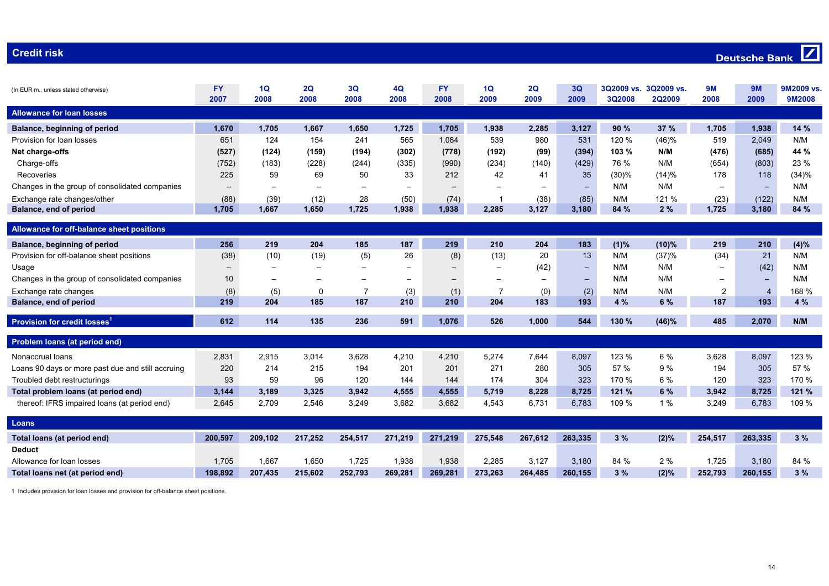#### **Credit risk000 to 1000 minutes and 2000 minutes and 2000 minutes and 2000 minutes and 2000 minutes and 2000 minutes and**

### $\boxed{7}$ **Deutsche Bank**

| (In EUR m., unless stated otherwise)              | <b>FY</b><br>2007        | 1Q<br>2008               | 2Q<br>2008               | 3Q<br>2008               | 4Q<br>2008               | <b>FY</b><br>2008 | 1Q<br>2009 | 2Q<br>2009               | 3Q<br>2009               | 3Q2009 vs.<br>3Q2008 | 3Q2009 vs.<br><b>2Q2009</b> | <b>9M</b><br>2008        | <b>9M</b><br>2009 | 9M2009 vs.<br>9M2008 |
|---------------------------------------------------|--------------------------|--------------------------|--------------------------|--------------------------|--------------------------|-------------------|------------|--------------------------|--------------------------|----------------------|-----------------------------|--------------------------|-------------------|----------------------|
| <b>Allowance for loan losses</b>                  |                          |                          |                          |                          |                          |                   |            |                          |                          |                      |                             |                          |                   |                      |
| Balance, beginning of period                      | 1,670                    | 1,705                    | 1,667                    | 1,650                    | 1,725                    | 1,705             | 1,938      | 2,285                    | 3,127                    | 90%                  | 37 %                        | 1,705                    | 1,938             | 14%                  |
| Provision for loan losses                         | 651                      | 124                      | 154                      | 241                      | 565                      | 1,084             | 539        | 980                      | 531                      | 120 %                | (46)%                       | 519                      | 2,049             | N/M                  |
| Net charge-offs                                   | (527)                    | (124)                    | (159)                    | (194)                    | (302)                    | (778)             | (192)      | (99)                     | (394)                    | 103 %                | N/M                         | (476)                    | (685)             | 44 %                 |
| Charge-offs                                       | (752)                    | (183)                    | (228)                    | (244)                    | (335)                    | (990)             | (234)      | (140)                    | (429)                    | 76 %                 | N/M                         | (654)                    | (803)             | 23 %                 |
| Recoveries                                        | 225                      | 59                       | 69                       | 50                       | 33                       | 212               | 42         | 41                       | 35                       | (30)%                | (14)%                       | 178                      | 118               | (34)%                |
| Changes in the group of consolidated companies    | $\overline{\phantom{0}}$ | $\overline{\phantom{0}}$ |                          | $\overline{\phantom{0}}$ |                          |                   |            |                          | $\qquad \qquad -$        | N/M                  | N/M                         | $\overline{\phantom{0}}$ | $\qquad \qquad -$ | N/M                  |
| Exchange rate changes/other                       | (88)                     | (39)                     | (12)                     | 28                       | (50)                     | (74)              | -1         | (38)                     | (85)                     | N/M                  | 121 %                       | (23)                     | (122)             | N/M                  |
| <b>Balance, end of period</b>                     | 1,705                    | 1,667                    | 1,650                    | 1,725                    | 1,938                    | 1,938             | 2,285      | 3,127                    | 3,180                    | 84 %                 | 2%                          | 1,725                    | 3,180             | 84 %                 |
|                                                   |                          |                          |                          |                          |                          |                   |            |                          |                          |                      |                             |                          |                   |                      |
| Allowance for off-balance sheet positions         |                          |                          |                          |                          |                          |                   |            |                          |                          |                      |                             |                          |                   |                      |
| Balance, beginning of period                      | 256                      | 219                      | 204                      | 185                      | 187                      | 219               | 210        | 204                      | 183                      | (1)%                 | (10)%                       | 219                      | 210               | (4)%                 |
| Provision for off-balance sheet positions         | (38)                     | (10)                     | (19)                     | (5)                      | 26                       | (8)               | (13)       | 20                       | 13                       | N/M                  | (37)%                       | (34)                     | 21                | N/M                  |
| Usage                                             | $\overline{\phantom{m}}$ |                          | $\overline{\phantom{0}}$ |                          |                          |                   |            | (42)                     | $\overline{\phantom{0}}$ | N/M                  | N/M                         | $\overline{\phantom{0}}$ | (42)              | N/M                  |
| Changes in the group of consolidated companies    | 10                       | $\overline{\phantom{0}}$ |                          | $\overline{\phantom{0}}$ | $\overline{\phantom{0}}$ | $\qquad \qquad$   |            | $\overline{\phantom{0}}$ | $\overline{\phantom{0}}$ | N/M                  | N/M                         |                          |                   | N/M                  |
| Exchange rate changes                             | (8)                      | (5)                      | 0                        |                          | (3)                      | (1)               | 7          | (0)                      | (2)                      | N/M                  | N/M                         | 2                        | $\overline{4}$    | 168 %                |
| <b>Balance, end of period</b>                     | 219                      | 204                      | 185                      | 187                      | 210                      | 210               | 204        | 183                      | 193                      | 4 %                  | 6 %                         | 187                      | 193               | 4 %                  |
|                                                   |                          |                          |                          |                          |                          |                   |            |                          |                          |                      |                             |                          |                   |                      |
| <b>Provision for credit losses</b>                | 612                      | 114                      | 135                      | 236                      | 591                      | 1,076             | 526        | 1,000                    | 544                      | 130 %                | (46)%                       | 485                      | 2,070             | N/M                  |
| Problem loans (at period end)                     |                          |                          |                          |                          |                          |                   |            |                          |                          |                      |                             |                          |                   |                      |
| Nonaccrual loans                                  | 2,831                    | 2,915                    | 3,014                    | 3,628                    | 4,210                    | 4,210             | 5,274      | 7,644                    | 8,097                    | 123 %                | 6 %                         | 3,628                    | 8,097             | 123 %                |
| Loans 90 days or more past due and still accruing | 220                      | 214                      | 215                      | 194                      | 201                      | 201               | 271        | 280                      | 305                      | 57 %                 | 9 %                         | 194                      | 305               | 57 %                 |
| Troubled debt restructurings                      | 93                       | 59                       | 96                       | 120                      | 144                      | 144               | 174        | 304                      | 323                      | 170 %                | 6 %                         | 120                      | 323               | 170 %                |
| Total problem loans (at period end)               | 3,144                    | 3,189                    | 3,325                    | 3,942                    | 4,555                    | 4,555             | 5,719      | 8,228                    | 8,725                    | 121 %                | 6 %                         | 3,942                    | 8,725             | 121 %                |
| thereof: IFRS impaired loans (at period end)      | 2,645                    | 2,709                    | 2.546                    | 3.249                    | 3,682                    | 3,682             | 4,543      | 6,731                    | 6,783                    | 109 %                | 1%                          | 3,249                    | 6,783             | 109 %                |
|                                                   |                          |                          |                          |                          |                          |                   |            |                          |                          |                      |                             |                          |                   |                      |
| Loans                                             |                          |                          |                          |                          |                          |                   |            |                          |                          |                      |                             |                          |                   |                      |
| Total loans (at period end)                       | 200,597                  | 209,102                  | 217,252                  | 254,517                  | 271,219                  | 271,219           | 275,548    | 267,612                  | 263,335                  | 3%                   | (2)%                        | 254,517                  | 263,335           | 3%                   |
| <b>Deduct</b>                                     |                          |                          |                          |                          |                          |                   |            |                          |                          |                      |                             |                          |                   |                      |
| Allowance for loan losses                         | 1,705                    | 1.667                    | 1,650                    | 1,725                    | 1,938                    | 1,938             | 2,285      | 3,127                    | 3,180                    | 84 %                 | 2 %                         | 1.725                    | 3,180             | 84 %                 |
| Total loans net (at period end)                   | 198.892                  | 207,435                  | 215,602                  | 252,793                  | 269,281                  | 269,281           | 273,263    | 264,485                  | 260,155                  | 3%                   | (2)%                        | 252,793                  | 260,155           | 3%                   |

1 Includes provision for loan losses and provision for off-balance sheet positions.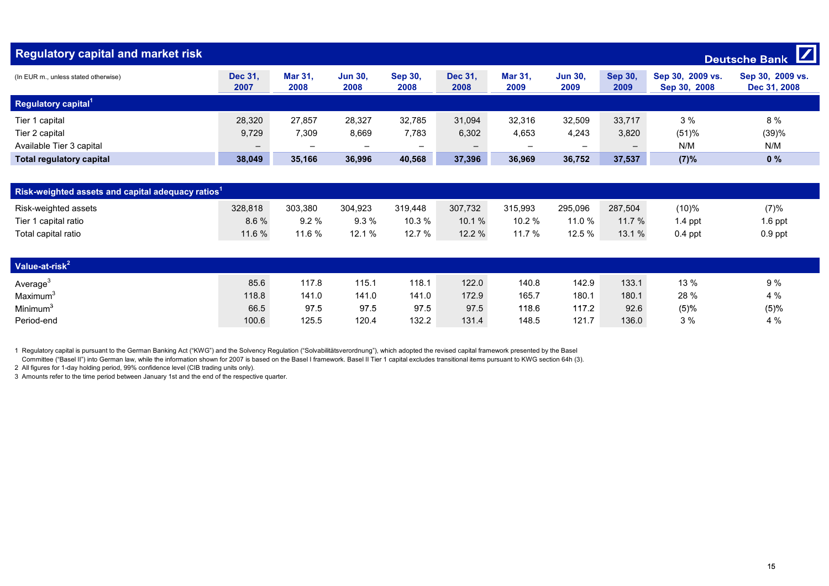| <b>Regulatory capital and market risk</b> |                          |                          |                          |                          |                          |                          |                          |                        |                                  | $\mathbf Z$<br><b>Deutsche Bank</b> |
|-------------------------------------------|--------------------------|--------------------------|--------------------------|--------------------------|--------------------------|--------------------------|--------------------------|------------------------|----------------------------------|-------------------------------------|
| (In EUR m., unless stated otherwise)      | <b>Dec 31.</b><br>2007   | <b>Mar 31.</b><br>2008   | <b>Jun 30.</b><br>2008   | <b>Sep 30.</b><br>2008   | <b>Dec 31.</b><br>2008   | <b>Mar 31.</b><br>2009   | <b>Jun 30.</b><br>2009   | <b>Sep 30,</b><br>2009 | Sep 30, 2009 vs.<br>Sep 30, 2008 | Sep 30, 2009 vs.<br>Dec 31, 2008    |
| Regulatory capital <sup>1</sup>           |                          |                          |                          |                          |                          |                          |                          |                        |                                  |                                     |
| Tier 1 capital                            | 28,320                   | 27.857                   | 28,327                   | 32,785                   | 31,094                   | 32,316                   | 32,509                   | 33,717                 | 3%                               | 8%                                  |
| Tier 2 capital                            | 9,729                    | 7,309                    | 8,669                    | 7,783                    | 6,302                    | 4,653                    | 4,243                    | 3,820                  | (51)%                            | (39)%                               |
| Available Tier 3 capital                  | $\overline{\phantom{m}}$ | $\overline{\phantom{0}}$ | $\overline{\phantom{0}}$ | $\overline{\phantom{0}}$ | $\overline{\phantom{m}}$ | $\overline{\phantom{0}}$ | $\overline{\phantom{0}}$ | -                      | N/M                              | N/M                                 |
| <b>Total regulatory capital</b>           | 38,049                   | 35,166                   | 36,996                   | 40,568                   | 37,396                   | 36,969                   | 36,752                   | 37,537                 | (7)%                             | 0%                                  |

| Risk-weighted assets and capital adequacy ratios <sup>1</sup> |         |         |         |         |         |         |         |         |           |           |  |  |
|---------------------------------------------------------------|---------|---------|---------|---------|---------|---------|---------|---------|-----------|-----------|--|--|
| Risk-weighted assets                                          | 328.818 | 303,380 | 304,923 | 319.448 | 307.732 | 315,993 | 295.096 | 287,504 | 10)%      | (7)%      |  |  |
| Tier 1 capital ratio                                          | 8.6%    | 9.2%    | 9.3%    | 10.3 %  | 10.1%   | 10.2%   | 11.0 %  | 11.7%   | .4 ppt    | $1.6$ ppt |  |  |
| Total capital ratio                                           | 11.6 %  | 11.6 %  | 12.1%   | 12.7 %  | 12.2%   | 11.7 %  | 12.5 %  | 13.1%   | $0.4$ ppt | $0.9$ ppt |  |  |

| Value-at-risk <sup>2</sup> |       |       |       |       |       |       |       |       |      |      |
|----------------------------|-------|-------|-------|-------|-------|-------|-------|-------|------|------|
| Average <sup>3</sup>       | 85.6  | 117.8 | 115.1 | 118.1 | 122.0 | 140.8 | 142.9 | 133.1 | 13 % | 9 %  |
| Maximum <sup>3</sup>       | 118.8 | 141.0 | 141.0 | 141.0 | 172.9 | 165.7 | 180.1 | 180.1 | 28 % | 4 %  |
| Minimum <sup>3</sup>       | 66.5  | 97.5  | 97.5  | 97.5  | 97.5  | 118.6 | 117.2 | 92.6  | (5)% | (5)% |
| Period-end                 | 100.6 | 125.5 | 120.4 | 132.2 | 131.4 | 148.5 | 121.7 | 136.0 | 3%   | 4 %  |

1 Regulatory capital is pursuant to the German Banking Act ("KWG") and the Solvency Regulation ("Solvabilitätsverordnung"), which adopted the revised capital framework presented by the Basel

Committee ("Basel II") into German law, while the information shown for 2007 is based on the Basel I framework. Basel II Tier 1 capital excludes transitional items pursuant to KWG section 64h (3).

2 All figures for 1-day holding period, 99% confidence level (CIB trading units only).

3 Amounts refer to the time period between January 1st and the end of the respective quarter.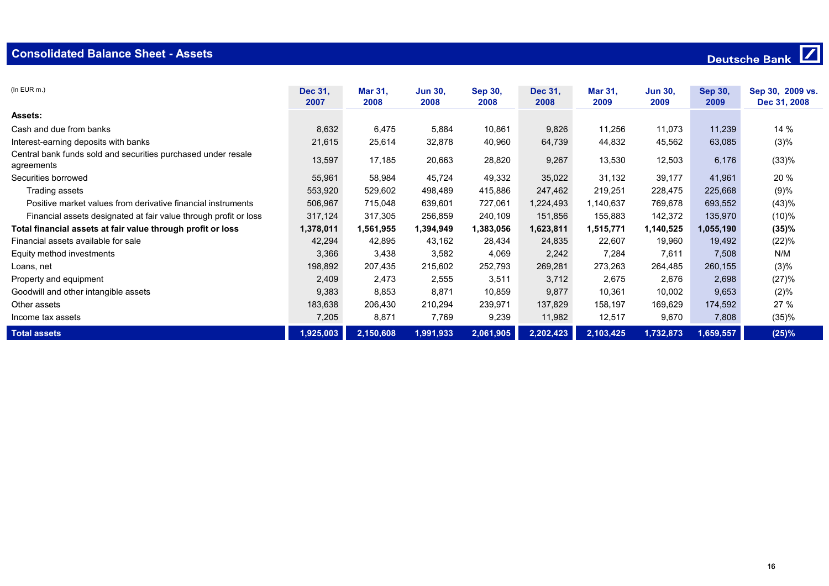| $(ln$ EUR $m.$ )                                                            | Dec 31,<br>2007 | <b>Mar 31.</b><br>2008 | <b>Jun 30,</b><br>2008 | <b>Sep 30,</b><br>2008 | Dec 31,<br>2008 | <b>Mar 31,</b><br>2009 | <b>Jun 30,</b><br>2009 | <b>Sep 30,</b><br>2009 | Sep 30, 2009 vs.<br>Dec 31, 2008 |
|-----------------------------------------------------------------------------|-----------------|------------------------|------------------------|------------------------|-----------------|------------------------|------------------------|------------------------|----------------------------------|
| <b>Assets:</b>                                                              |                 |                        |                        |                        |                 |                        |                        |                        |                                  |
| Cash and due from banks                                                     | 8,632           | 6,475                  | 5,884                  | 10,861                 | 9,826           | 11,256                 | 11,073                 | 11,239                 | 14 %                             |
| Interest-earning deposits with banks                                        | 21,615          | 25,614                 | 32,878                 | 40,960                 | 64,739          | 44,832                 | 45,562                 | 63,085                 | (3)%                             |
| Central bank funds sold and securities purchased under resale<br>agreements | 13,597          | 17,185                 | 20,663                 | 28,820                 | 9,267           | 13,530                 | 12,503                 | 6,176                  | (33)%                            |
| Securities borrowed                                                         | 55,961          | 58,984                 | 45,724                 | 49,332                 | 35,022          | 31,132                 | 39,177                 | 41,961                 | 20 %                             |
| Trading assets                                                              | 553,920         | 529,602                | 498,489                | 415,886                | 247,462         | 219,251                | 228,475                | 225,668                | (9)%                             |
| Positive market values from derivative financial instruments                | 506,967         | 715,048                | 639,601                | 727,061                | 1,224,493       | 1,140,637              | 769,678                | 693,552                | (43)%                            |
| Financial assets designated at fair value through profit or loss            | 317,124         | 317,305                | 256,859                | 240,109                | 151,856         | 155,883                | 142,372                | 135,970                | (10)%                            |
| Total financial assets at fair value through profit or loss                 | 1,378,011       | 1,561,955              | 1,394,949              | 1,383,056              | 1,623,811       | 1,515,771              | 1,140,525              | 1,055,190              | (35)%                            |
| Financial assets available for sale                                         | 42,294          | 42,895                 | 43,162                 | 28,434                 | 24,835          | 22,607                 | 19,960                 | 19,492                 | (22)%                            |
| Equity method investments                                                   | 3,366           | 3,438                  | 3,582                  | 4,069                  | 2,242           | 7,284                  | 7,611                  | 7,508                  | N/M                              |
| Loans, net                                                                  | 198,892         | 207,435                | 215,602                | 252,793                | 269,281         | 273,263                | 264,485                | 260,155                | (3)%                             |
| Property and equipment                                                      | 2,409           | 2,473                  | 2,555                  | 3,511                  | 3,712           | 2,675                  | 2,676                  | 2,698                  | (27)%                            |
| Goodwill and other intangible assets                                        | 9,383           | 8,853                  | 8,871                  | 10,859                 | 9,877           | 10,361                 | 10,002                 | 9,653                  | (2)%                             |
| Other assets                                                                | 183,638         | 206,430                | 210,294                | 239,971                | 137,829         | 158,197                | 169,629                | 174,592                | 27 %                             |
| Income tax assets                                                           | 7,205           | 8,871                  | 7,769                  | 9,239                  | 11,982          | 12,517                 | 9,670                  | 7,808                  | (35)%                            |
| <b>Total assets</b>                                                         | 1,925,003       | 2,150,608              | 1,991,933              | 2,061,905              | 2,202,423       | 2,103,425              | 1,732,873              | 1,659,557              | (25)%                            |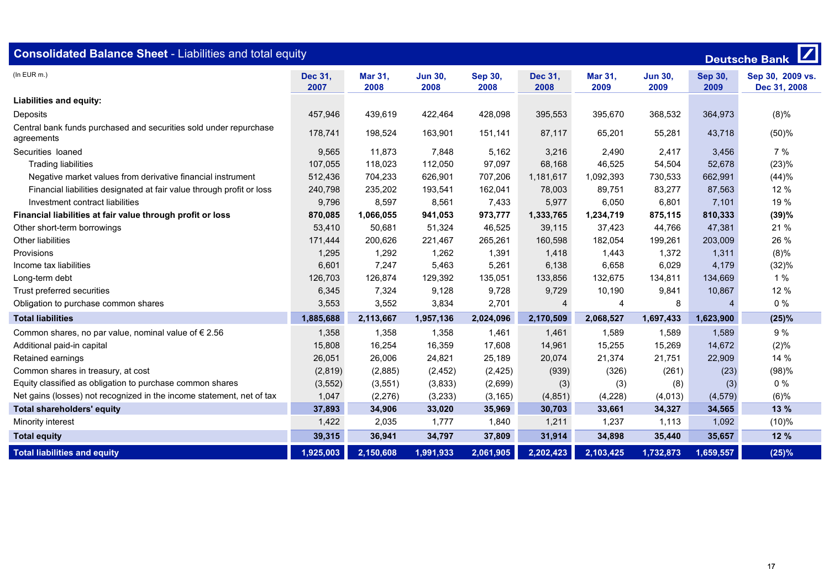| <b>Consolidated Balance Sheet - Liabilities and total equity</b><br><b>Deutsche Bank</b> |                 |                        |                        |                        |                 |                        |                        |                        |                                  |  |  |
|------------------------------------------------------------------------------------------|-----------------|------------------------|------------------------|------------------------|-----------------|------------------------|------------------------|------------------------|----------------------------------|--|--|
| $(ln$ EUR $m.$ )                                                                         | Dec 31,<br>2007 | <b>Mar 31,</b><br>2008 | <b>Jun 30,</b><br>2008 | <b>Sep 30,</b><br>2008 | Dec 31,<br>2008 | <b>Mar 31,</b><br>2009 | <b>Jun 30.</b><br>2009 | <b>Sep 30,</b><br>2009 | Sep 30, 2009 vs.<br>Dec 31, 2008 |  |  |
| Liabilities and equity:                                                                  |                 |                        |                        |                        |                 |                        |                        |                        |                                  |  |  |
| Deposits                                                                                 | 457,946         | 439,619                | 422,464                | 428,098                | 395,553         | 395,670                | 368,532                | 364,973                | $(8)\%$                          |  |  |
| Central bank funds purchased and securities sold under repurchase<br>agreements          | 178,741         | 198,524                | 163,901                | 151.141                | 87,117          | 65,201                 | 55,281                 | 43,718                 | (50)%                            |  |  |
| Securities loaned                                                                        | 9,565           | 11,873                 | 7,848                  | 5,162                  | 3,216           | 2,490                  | 2,417                  | 3,456                  | 7%                               |  |  |
| <b>Trading liabilities</b>                                                               | 107,055         | 118,023                | 112,050                | 97,097                 | 68,168          | 46,525                 | 54,504                 | 52,678                 | (23)%                            |  |  |
| Negative market values from derivative financial instrument                              | 512,436         | 704,233                | 626,901                | 707,206                | 1,181,617       | 1,092,393              | 730,533                | 662,991                | (44)%                            |  |  |
| Financial liabilities designated at fair value through profit or loss                    | 240,798         | 235,202                | 193,541                | 162,041                | 78,003          | 89,751                 | 83,277                 | 87,563                 | 12 %                             |  |  |
| Investment contract liabilities                                                          | 9,796           | 8,597                  | 8,561                  | 7,433                  | 5,977           | 6,050                  | 6,801                  | 7,101                  | 19 %                             |  |  |
| Financial liabilities at fair value through profit or loss                               | 870,085         | 1,066,055              | 941,053                | 973,777                | 1,333,765       | 1,234,719              | 875,115                | 810,333                | (39)%                            |  |  |
| Other short-term borrowings                                                              | 53,410          | 50,681                 | 51,324                 | 46,525                 | 39,115          | 37,423                 | 44,766                 | 47,381                 | 21 %                             |  |  |
| Other liabilities                                                                        | 171,444         | 200,626                | 221,467                | 265,261                | 160,598         | 182,054                | 199,261                | 203,009                | 26 %                             |  |  |
| Provisions                                                                               | 1,295           | 1,292                  | 1,262                  | 1,391                  | 1,418           | 1,443                  | 1,372                  | 1,311                  | (8)%                             |  |  |
| Income tax liabilities                                                                   | 6,601           | 7,247                  | 5,463                  | 5,261                  | 6,138           | 6,658                  | 6,029                  | 4,179                  | (32)%                            |  |  |
| Long-term debt                                                                           | 126,703         | 126,874                | 129,392                | 135,051                | 133,856         | 132,675                | 134,811                | 134,669                | 1%                               |  |  |
| Trust preferred securities                                                               | 6,345           | 7,324                  | 9,128                  | 9,728                  | 9,729           | 10,190                 | 9,841                  | 10,867                 | 12 %                             |  |  |
| Obligation to purchase common shares                                                     | 3,553           | 3,552                  | 3,834                  | 2,701                  | $\overline{4}$  | $\overline{A}$         | 8                      | 4                      | 0%                               |  |  |
| <b>Total liabilities</b>                                                                 | 1,885,688       | 2,113,667              | 1,957,136              | 2,024,096              | 2,170,509       | 2,068,527              | 1,697,433              | 1,623,900              | (25)%                            |  |  |
| Common shares, no par value, nominal value of $\epsilon$ 2.56                            | 1,358           | 1,358                  | 1,358                  | 1,461                  | 1,461           | 1,589                  | 1,589                  | 1,589                  | 9%                               |  |  |
| Additional paid-in capital                                                               | 15,808          | 16,254                 | 16,359                 | 17,608                 | 14,961          | 15,255                 | 15,269                 | 14,672                 | (2)%                             |  |  |
| Retained earnings                                                                        | 26,051          | 26,006                 | 24,821                 | 25,189                 | 20,074          | 21,374                 | 21,751                 | 22,909                 | 14 %                             |  |  |
| Common shares in treasury, at cost                                                       | (2,819)         | (2,885)                | (2, 452)               | (2, 425)               | (939)           | (326)                  | (261)                  | (23)                   | (98)%                            |  |  |
| Equity classified as obligation to purchase common shares                                | (3, 552)        | (3, 551)               | (3,833)                | (2,699)                | (3)             | (3)                    | (8)                    | (3)                    | $0\%$                            |  |  |
| Net gains (losses) not recognized in the income statement, net of tax                    | 1,047           | (2,276)                | (3,233)                | (3, 165)               | (4, 851)        | (4,228)                | (4,013)                | (4, 579)               | (6)%                             |  |  |
| <b>Total shareholders' equity</b>                                                        | 37,893          | 34,906                 | 33,020                 | 35,969                 | 30,703          | 33,661                 | 34,327                 | 34,565                 | 13 %                             |  |  |
| Minority interest                                                                        | 1,422           | 2,035                  | 1,777                  | 1,840                  | 1,211           | 1,237                  | 1,113                  | 1,092                  | (10)%                            |  |  |
| <b>Total equity</b>                                                                      | 39,315          | 36,941                 | 34,797                 | 37,809                 | 31,914          | 34,898                 | 35,440                 | 35,657                 | 12 %                             |  |  |
| <b>Total liabilities and equity</b>                                                      | 1,925,003       | 2,150,608              | 1,991,933              | 2,061,905              | 2,202,423       | 2,103,425              | 1,732,873              | 1,659,557              | (25)%                            |  |  |